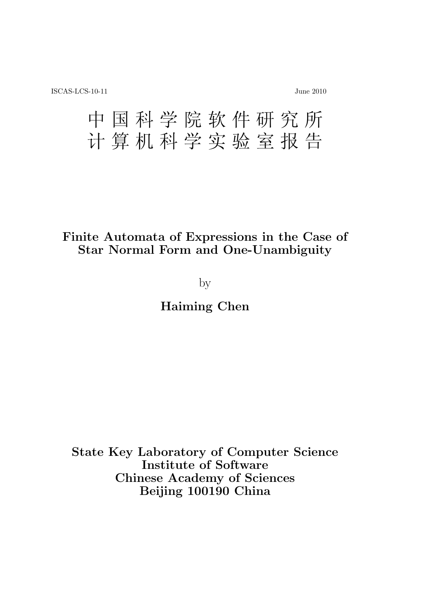# 中 国 科 学 院 软 件 研 究 所 计 算 机 科 学 实 验 室 报 告

# **Finite Automata of Expressions in the Case of Star Normal Form and One-Unambiguity**

by

**Haiming Chen**

**State Key Laboratory of Computer Science Institute of Software Chinese Academy of Sciences Beijing 100190 China**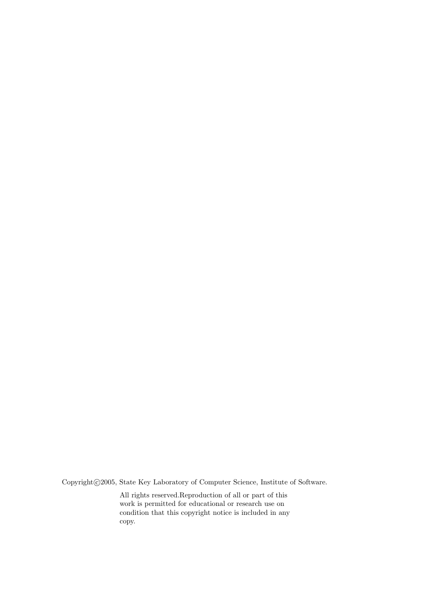Copyright $©2005$ , State Key Laboratory of Computer Science, Institute of Software.

All rights reserved.Reproduction of all or part of this work is permitted for educational or research use on condition that this copyright notice is included in any copy.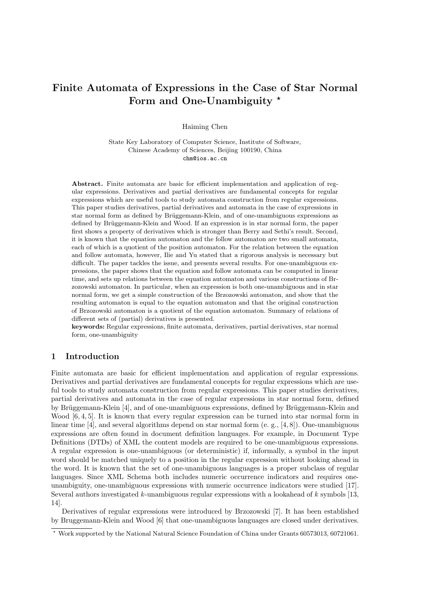# **Finite Automata of Expressions in the Case of Star Normal Form and One-Unambiguity** *<sup>⋆</sup>*

Haiming Chen

State Key Laboratory of Computer Science, Institute of Software, Chinese Academy of Sciences, Beijing 100190, China chm@ios.ac.cn

**Abstract.** Finite automata are basic for efficient implementation and application of regular expressions. Derivatives and partial derivatives are fundamental concepts for regular expressions which are useful tools to study automata construction from regular expressions. This paper studies derivatives, partial derivatives and automata in the case of expressions in star normal form as defined by Brüggemann-Klein, and of one-unambiguous expressions as defined by Brüggemann-Klein and Wood. If an expression is in star normal form, the paper first shows a property of derivatives which is stronger than Berry and Sethi's result. Second, it is known that the equation automaton and the follow automaton are two small automata, each of which is a quotient of the position automaton. For the relation between the equation and follow automata, however, Ilie and Yu stated that a rigorous analysis is necessary but difficult. The paper tackles the issue, and presents several results. For one-unambiguous expressions, the paper shows that the equation and follow automata can be computed in linear time, and sets up relations between the equation automaton and various constructions of Brzozowski automaton. In particular, when an expression is both one-unambiguous and in star normal form, we get a simple construction of the Brzozowski automaton, and show that the resulting automaton is equal to the equation automaton and that the original construction of Brzozowski automaton is a quotient of the equation automaton. Summary of relations of different sets of (partial) derivatives is presented.

**keywords:** Regular expressions, finite automata, derivatives, partial derivatives, star normal form, one-unambiguity

# **1 Introduction**

Finite automata are basic for efficient implementation and application of regular expressions. Derivatives and partial derivatives are fundamental concepts for regular expressions which are useful tools to study automata construction from regular expressions. This paper studies derivatives, partial derivatives and automata in the case of regular expressions in star normal form, defined by Brüggemann-Klein [4], and of one-unambiguous expressions, defined by Brüggemann-Klein and Wood  $[6, 4, 5]$ . It is known that every regular expression can be turned into star normal form in linear time [4], and several algorithms depend on star normal form (e. g., [4, 8]). One-unambiguous expressions are often found in document definition languages. For example, in Document Type Definitions (DTDs) of XML the content models are required to be one-unambiguous expressions. A regular expression is one-unambiguous (or deterministic) if, informally, a symbol in the input word should be matched uniquely to a position in the regular expression without looking ahead in the word. It is known that the set of one-unambiguous languages is a proper subclass of regular languages. Since XML Schema both includes numeric occurrence indicators and requires oneunambiguity, one-unambiguous expressions with numeric occurrence indicators were studied [17]. Several authors investigated *k*-unambiguous regular expressions with a lookahead of *k* symbols [13, 14].

Derivatives of regular expressions were introduced by Brzozowski [7]. It has been established by Bruggemann-Klein and Wood [6] that one-unambiguous languages are closed under derivatives.

*<sup>⋆</sup>* Work supported by the National Natural Science Foundation of China under Grants 60573013, 60721061.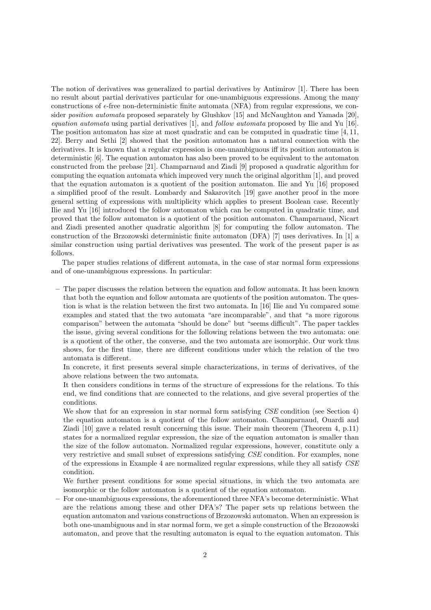The notion of derivatives was generalized to partial derivatives by Antimirov [1]. There has been no result about partial derivatives particular for one-unambiguous expressions. Among the many constructions of *ϵ*-free non-deterministic finite automata (NFA) from regular expressions, we consider *position automata* proposed separately by Glushkov [15] and McNaughton and Yamada [20], *equation automata* using partial derivatives [1], and *follow automata* proposed by Ilie and Yu [16]. The position automaton has size at most quadratic and can be computed in quadratic time [4, 11, 22]. Berry and Sethi [2] showed that the position automaton has a natural connection with the derivatives. It is known that a regular expression is one-unambiguous iff its position automaton is deterministic [6]. The equation automaton has also been proved to be equivalent to the automaton constructed from the prebase [21]. Champarnaud and Ziadi [9] proposed a quadratic algorithm for computing the equation automata which improved very much the original algorithm [1], and proved that the equation automaton is a quotient of the position automaton. Ilie and Yu [16] proposed a simplified proof of the result. Lombardy and Sakarovitch [19] gave another proof in the more general setting of expressions with multiplicity which applies to present Boolean case. Recently Ilie and Yu [16] introduced the follow automaton which can be computed in quadratic time, and proved that the follow automaton is a quotient of the position automaton. Champarnaud, Nicart and Ziadi presented another quadratic algorithm [8] for computing the follow automaton. The construction of the Brzozowski deterministic finite automaton (DFA) [7] uses derivatives. In [1] a similar construction using partial derivatives was presented. The work of the present paper is as follows.

The paper studies relations of different automata, in the case of star normal form expressions and of one-unambiguous expressions. In particular:

**–** The paper discusses the relation between the equation and follow automata. It has been known that both the equation and follow automata are quotients of the position automaton. The question is what is the relation between the first two automata. In [16] Ilie and Yu compared some examples and stated that the two automata "are incomparable", and that "a more rigorous comparison" between the automata "should be done" but "seems difficult". The paper tackles the issue, giving several conditions for the following relations between the two automata: one is a quotient of the other, the converse, and the two automata are isomorphic. Our work thus shows, for the first time, there are different conditions under which the relation of the two automata is different.

In concrete, it first presents several simple characterizations, in terms of derivatives, of the above relations between the two automata.

It then considers conditions in terms of the structure of expressions for the relations. To this end, we find conditions that are connected to the relations, and give several properties of the conditions.

We show that for an expression in star normal form satisfying *CSE* condition (see Section 4) the equation automaton is a quotient of the follow automaton. Champarnaud, Ouardi and Ziadi [10] gave a related result concerning this issue. Their main theorem (Theorem 4, p.11) states for a normalized regular expression, the size of the equation automaton is smaller than the size of the follow automaton. Normalized regular expressions, however, constitute only a very restrictive and small subset of expressions satisfying *CSE* condition. For examples, none of the expressions in Example 4 are normalized regular expressions, while they all satisfy *CSE* condition.

We further present conditions for some special situations, in which the two automata are isomorphic or the follow automaton is a quotient of the equation automaton.

**–** For one-unambiguous expressions, the aforementioned three NFA's become deterministic. What are the relations among these and other DFA's? The paper sets up relations between the equation automaton and various constructions of Brzozowski automaton. When an expression is both one-unambiguous and in star normal form, we get a simple construction of the Brzozowski automaton, and prove that the resulting automaton is equal to the equation automaton. This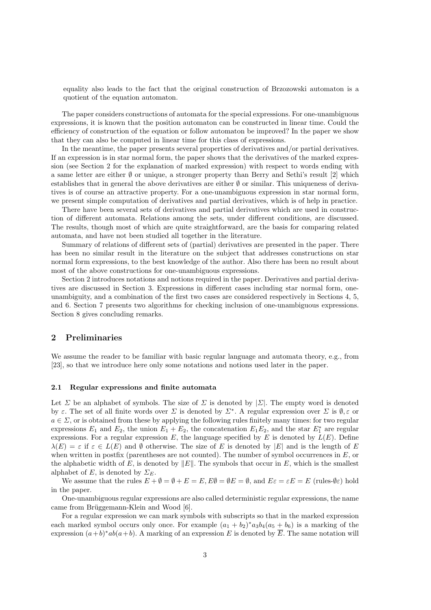equality also leads to the fact that the original construction of Brzozowski automaton is a quotient of the equation automaton.

The paper considers constructions of automata for the special expressions. For one-unambiguous expressions, it is known that the position automaton can be constructed in linear time. Could the efficiency of construction of the equation or follow automaton be improved? In the paper we show that they can also be computed in linear time for this class of expressions.

In the meantime, the paper presents several properties of derivatives and/or partial derivatives. If an expression is in star normal form, the paper shows that the derivatives of the marked expression (see Section 2 for the explanation of marked expression) with respect to words ending with a same letter are either *∅* or unique, a stronger property than Berry and Sethi's result [2] which establishes that in general the above derivatives are either *∅* or similar. This uniqueness of derivatives is of course an attractive property. For a one-unambiguous expression in star normal form, we present simple computation of derivatives and partial derivatives, which is of help in practice.

There have been several sets of derivatives and partial derivatives which are used in construction of different automata. Relations among the sets, under different conditions, are discussed. The results, though most of which are quite straightforward, are the basis for comparing related automata, and have not been studied all together in the literature.

Summary of relations of different sets of (partial) derivatives are presented in the paper. There has been no similar result in the literature on the subject that addresses constructions on star normal form expressions, to the best knowledge of the author. Also there has been no result about most of the above constructions for one-unambiguous expressions.

Section 2 introduces notations and notions required in the paper. Derivatives and partial derivatives are discussed in Section 3. Expressions in different cases including star normal form, oneunambiguity, and a combination of the first two cases are considered respectively in Sections 4, 5, and 6. Section 7 presents two algorithms for checking inclusion of one-unambiguous expressions. Section 8 gives concluding remarks.

# **2 Preliminaries**

We assume the reader to be familiar with basic regular language and automata theory, e.g., from [23], so that we introduce here only some notations and notions used later in the paper.

#### **2.1 Regular expressions and finite automata**

Let *Σ* be an alphabet of symbols. The size of *Σ* is denoted by  $|Z|$ . The empty word is denoted by *ε*. The set of all finite words over *Σ* is denoted by *Σ<sup>∗</sup>* . A regular expression over *Σ* is *∅, ε* or  $a \in \Sigma$ , or is obtained from these by applying the following rules finitely many times: for two regular expressions  $E_1$  and  $E_2$ , the union  $E_1 + E_2$ , the concatenation  $E_1E_2$ , and the star  $E_1^*$  are regular expressions. For a regular expression  $E$ , the language specified by  $E$  is denoted by  $L(E)$ . Define  $\lambda(E) = \varepsilon$  if  $\varepsilon \in L(E)$  and  $\emptyset$  otherwise. The size of *E* is denoted by  $|E|$  and is the length of *E* when written in postfix (parentheses are not counted). The number of symbol occurrences in *E*, or the alphabetic width of *E*, is denoted by *∥E∥*. The symbols that occur in *E*, which is the smallest alphabet of *E*, is denoted by  $\Sigma_E$ .

We assume that the rules  $E + \emptyset = \emptyset + E = E$ ,  $E\emptyset = \emptyset E = \emptyset$ , and  $E\varepsilon = \varepsilon E = E$  (rules- $\emptyset\varepsilon$ ) hold in the paper.

One-unambiguous regular expressions are also called deterministic regular expressions, the name came from Brüggemann-Klein and Wood [6].

For a regular expression we can mark symbols with subscripts so that in the marked expression each marked symbol occurs only once. For example  $(a_1 + b_2)^* a_3 b_4 (a_5 + b_6)$  is a marking of the expression  $(a+b)^*ab(a+b)$ . A marking of an expression *E* is denoted by *E*. The same notation will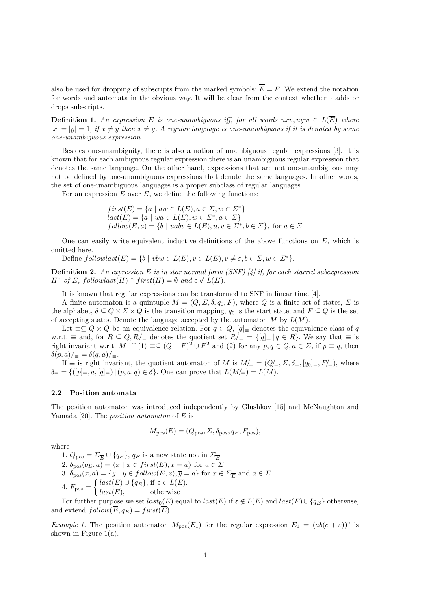also be used for dropping of subscripts from the marked symbols:  $\overline{\overline{E}} = E$ . We extend the notation for words and automata in the obvious way. It will be clear from the context whether *·* adds or drops subscripts.

**Definition 1.** An expression E is one-unambiguous iff, for all words  $uxv, uyw \in L(\overline{E})$  where  $|x| = |y| = 1$ , if  $x \neq y$  then  $\overline{x} \neq \overline{y}$ . A regular language is one-unambiguous if it is denoted by some *one-unambiguous expression.*

Besides one-unambiguity, there is also a notion of unambiguous regular expressions [3]. It is known that for each ambiguous regular expression there is an unambiguous regular expression that denotes the same language. On the other hand, expressions that are not one-unambiguous may not be defined by one-unambiguous expressions that denote the same languages. In other words, the set of one-unambiguous languages is a proper subclass of regular languages.

For an expression  $E$  over  $\Sigma$ , we define the following functions:

$$
first(E) = \{a \mid aw \in L(E), a \in \Sigma, w \in \Sigma^*\}
$$
  

$$
last(E) = \{a \mid wa \in L(E), w \in \Sigma^*, a \in \Sigma\}
$$
  

$$
follow(E, a) = \{b \mid uabv \in L(E), u, v \in \Sigma^*, b \in \Sigma\}, \text{ for } a \in \Sigma
$$

One can easily write equivalent inductive definitions of the above functions on *E*, which is omitted here.

Define  $followlast(E) = \{b \mid vbw \in L(E), v \in L(E), v \neq \varepsilon, b \in \Sigma, w \in \Sigma^*\}.$ 

**Definition 2.** *An expression E is in star normal form (SNF) [4] if, for each starred subexpression H*<sup>\*</sup> *of E, followlast*( $\overline{H}$ )  $\cap$  *first*( $\overline{H}$ ) =  $\emptyset$  *and*  $\varepsilon \notin L(H)$ *.* 

It is known that regular expressions can be transformed to SNF in linear time [4].

A finite automaton is a quintuple  $M = (Q, \Sigma, \delta, q_0, F)$ , where Q is a finite set of states,  $\Sigma$  is the alphabet,  $\delta \subseteq Q \times \Sigma \times Q$  is the transition mapping,  $q_0$  is the start state, and  $F \subseteq Q$  is the set of accepting states. Denote the language accepted by the automaton *M* by *L*(*M*).

Let  $\equiv \subseteq Q \times Q$  be an equivalence relation. For  $q \in Q$ ,  $[q]$ <sub>≡</sub> denotes the equivalence class of *q* w.r.t.  $\equiv$  and, for  $R \subseteq Q, R/\equiv$  denotes the quotient set  $R/\equiv$  = {[q] $\equiv$  | q ∈ R}. We say that  $\equiv$  is right invariant w.r.t. *M* iff  $(1) \equiv \subseteq (Q - F)^2 \cup F^2$  and  $(2)$  for any  $p, q \in Q, a \in \Sigma$ , if  $p \equiv q$ , then  $\delta(p, a)$ / $\equiv$  =  $\delta(q, a)$ / $\equiv$ .

If  $\equiv$  is right invariant, the quotient automaton of *M* is  $M/\equiv$  =  $(Q/\equiv, \Sigma, \delta_{\equiv}, [q_0]_{\equiv}, F/\equiv)$ , where  $\delta$ <sup> $\equiv$ </sup> = { $([p]$ <sub> $\equiv$ </sub>, *a*,  $[q]$ <sub> $\equiv$ </sub> } |  $(p, a, q) \in \delta$ }. One can prove that  $L(M/_{\equiv}) = L(M)$ .

# **2.2 Position automata**

The position automaton was introduced independently by Glushkov [15] and McNaughton and Yamada [20]. The *position automaton* of *E* is

$$
M_{\text{pos}}(E) = (Q_{\text{pos}}, \Sigma, \delta_{\text{pos}}, q_E, F_{\text{pos}}),
$$

where

1.  $Q_{\text{pos}} = \Sigma_{\overline{E}} \cup \{q_E\}$ ,  $q_E$  is a new state not in  $\Sigma_{\overline{E}}$ 2.  $\delta_{\text{pos}}(q_E, a) = \{x \mid x \in \text{first}(E), \overline{x} = a\}$  for  $a \in \Sigma$ 3.  $\delta_{\text{pos}}(x, a) = \{y \mid y \in follow(E, x), \overline{y} = a\}$  for  $x \in \Sigma_{\overline{E}}$  and  $a \in \Sigma$ 4.  $F_{\text{pos}} =$  $\int$  *last*( $\overline{E}$ )  $\cup$  { $q_E$ }, if  $\varepsilon \in L(E)$ *, last*(*E*)*,* otherwise

For further purpose we set  $last_0(\overline{E})$  equal to  $last(\overline{E})$  if  $\varepsilon \notin L(E)$  and  $last(\overline{E}) \cup \{q_E\}$  otherwise, and extend  $follow(\overline{E}, q_E) = first(\overline{E}).$ 

*Example 1.* The position automaton  $M_{\text{pos}}(E_1)$  for the regular expression  $E_1 = (ab(c + \varepsilon))^*$  is shown in Figure  $1(a)$ .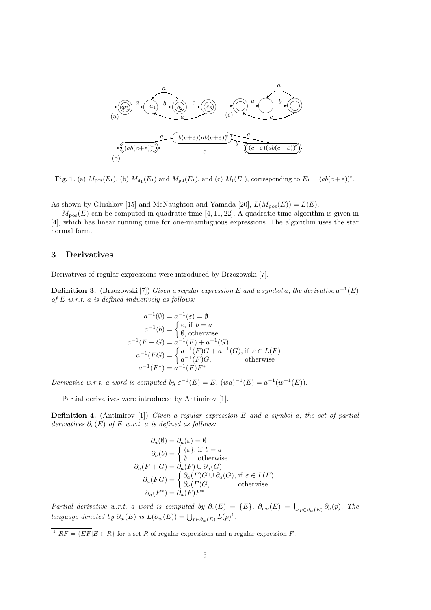

**Fig. 1.** (a)  $M_{\text{pos}}(E_1)$ , (b)  $M_{\text{d}_1}(E_1)$  and  $M_{\text{pd}}(E_1)$ , and (c)  $M_{\text{f}}(E_1)$ , corresponding to  $E_1 = (ab(c + \varepsilon))^*$ .

As shown by Glushkov [15] and McNaughton and Yamada [20],  $L(M_{pos}(E)) = L(E)$ .

 $M_{\text{pos}}(E)$  can be computed in quadratic time [4, 11, 22]. A quadratic time algorithm is given in [4], which has linear running time for one-unambiguous expressions. The algorithm uses the star normal form.

# **3 Derivatives**

Derivatives of regular expressions were introduced by Brzozowski [7].

**Definition 3.** (Brzozowski [7]) *Given a regular expression*  $E$  *and a symbol a, the derivative*  $a^{-1}(E)$ *of E w.r.t. a is defined inductively as follows:*

$$
a^{-1}(\emptyset) = a^{-1}(\varepsilon) = \emptyset
$$
  
\n
$$
a^{-1}(b) = \begin{cases} \varepsilon, \text{ if } b = a \\ \emptyset, \text{ otherwise} \end{cases}
$$
  
\n
$$
a^{-1}(F+G) = a^{-1}(F) + a^{-1}(G)
$$
  
\n
$$
a^{-1}(FG) = \begin{cases} a^{-1}(F)G + a^{-1}(G), \text{ if } \varepsilon \in L(F) \\ a^{-1}(F)G, \text{ otherwise} \end{cases}
$$
  
\n
$$
a^{-1}(F^*) = a^{-1}(F)F^*
$$

*Derivative w.r.t. a word is computed by*  $\varepsilon^{-1}(E) = E$ ,  $(wa)^{-1}(E) = a^{-1}(w^{-1}(E))$ .

Partial derivatives were introduced by Antimirov [1].

**Definition 4.** (Antimirov [1]) *Given a regular expression E and a symbol a, the set of partial derivatives*  $\partial_a(E)$  *of E w.r.t. a is defined as follows:* 

$$
\partial_a(\emptyset) = \partial_a(\varepsilon) = \emptyset
$$
  
\n
$$
\partial_a(b) = \begin{cases} {\varepsilon}, & \text{if } b = a \\ \emptyset, & \text{otherwise} \end{cases}
$$
  
\n
$$
\partial_a(F+G) = \partial_a(F) \cup \partial_a(G)
$$
  
\n
$$
\partial_a(FG) = \begin{cases} \partial_a(F)G \cup \partial_a(G), & \text{if } \varepsilon \in L(F) \\ \partial_a(F)G, & \text{otherwise} \end{cases}
$$
  
\n
$$
\partial_a(F^*) = \partial_a(F)F^*
$$

Partial derivative w.r.t. a word is computed by  $\partial_{\varepsilon}(E) = \{E\}$ ,  $\partial_{wa}(E) = \bigcup_{p \in \partial_w(E)} \partial_a(p)$ . The *language denoted by*  $\partial_w(E)$  *is*  $L(\partial_w(E)) = \bigcup_{p \in \partial_w(E)} L(p)^1$ .

 $\overline{P^1 RF} = \{ EF | E \in R \}$  for a set *R* of regular expressions and a regular expression *F*.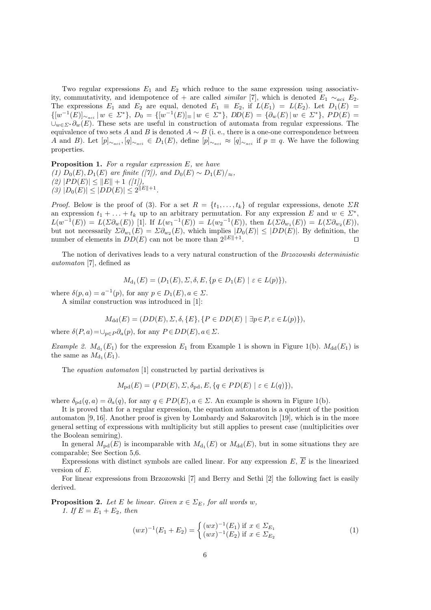Two regular expressions  $E_1$  and  $E_2$  which reduce to the same expression using associativity, commutativity, and idempotence of + are called *similar* [7], which is denoted  $E_1 \sim_{aci} E_2$ . The expressions  $E_1$  and  $E_2$  are equal, denoted  $E_1 \equiv E_2$ , if  $L(E_1) = L(E_2)$ . Let  $D_1(E) =$  $\{[w^{-1}(E)]_{\sim_{aci}} | w \in \Sigma^* \}, D_0 = \{[w^{-1}(E)]_{\equiv} | w \in \Sigma^* \}, DD(E) = \{ \partial_w(E) | w \in \Sigma^* \}, PD(E) =$ *∪<sup>w</sup>∈Σ<sup>∗</sup> ∂w*(*E*). These sets are useful in construction of automata from regular expressions. The equivalence of two sets *A* and *B* is denoted  $A \sim B$  (i. e., there is a one-one correspondence between A and B). Let  $[p]_{\sim_{aci}}, [q]_{\sim_{aci}} \in D_1(E)$ , define  $[p]_{\sim_{aci}} \approx [q]_{\sim_{aci}}$  if  $p \equiv q$ . We have the following properties.

**Proposition 1.** *For a regular expression E, we have (1)*  $D_0(E), D_1(E)$  *are finite ([7]), and*  $D_0(E) \sim D_1(E)/\approx$ *,*  $(2)$   $|PD(E)| \leq ||E|| + 1$   $([1]),$  $(3)$   $|D_0(E)| \leq |DD(E)| \leq 2^{\|E\|+1}$ .

*Proof.* Below is the proof of (3). For a set  $R = \{t_1, \ldots, t_k\}$  of regular expressions, denote  $\sum R$ an expression  $t_1 + \ldots + t_k$  up to an arbitrary permutation. For any expression *E* and  $w \in \Sigma^*$ ,  $L(w^{-1}(E)) = L(\Sigma \partial_w(E))$  [1]. If  $L(w_1^{-1}(E)) = L(w_2^{-1}(E))$ , then  $L(\Sigma \partial_{w_1}(E)) = L(\Sigma \partial_{w_2}(E))$ , but not necessarily  $\Sigma \partial_{w_1}(E) = \Sigma \partial_{w_2}(E)$ , which implies  $|D_0(E)| \leq |DD(E)|$ . By definition, the number of elements in  $DD(E)$  can not be more than  $2^{\|E\|+1}$ . . *⊓⊔*

The notion of derivatives leads to a very natural construction of the *Brzozowski deterministic automaton* [7], defined as

$$
M_{d_1}(E) = (D_1(E), \Sigma, \delta, E, \{p \in D_1(E) \mid \varepsilon \in L(p)\}),
$$

where  $\delta(p, a) = a^{-1}(p)$ , for any  $p \in D_1(E), a \in \Sigma$ .

A similar construction was introduced in [1]:

$$
M_{\mathrm{dd}}(E) = (DD(E), \Sigma, \delta, \{E\}, \{P \in DD(E) \mid \exists p \in P, \varepsilon \in L(p)\}),
$$

where  $\delta(P, a) = \bigcup_{p \in P} \partial_a(p)$ , for any  $P \in DD(E), a \in \Sigma$ .

*Example 2.*  $M_{d_1}(E_1)$  for the expression  $E_1$  from Example 1 is shown in Figure 1(b).  $M_{dd}(E_1)$  is the same as  $M_{d_1}(E_1)$ .

The *equation automaton* [1] constructed by partial derivatives is

$$
M_{\text{pd}}(E) = (PD(E), \Sigma, \delta_{\text{pd}}, E, \{q \in PD(E) \mid \varepsilon \in L(q)\}),
$$

where  $\delta_{\text{pd}}(q, a) = \partial_a(q)$ , for any  $q \in PD(E)$ ,  $a \in \Sigma$ . An example is shown in Figure 1(b).

It is proved that for a regular expression, the equation automaton is a quotient of the position automaton [9, 16]. Another proof is given by Lombardy and Sakarovitch [19], which is in the more general setting of expressions with multiplicity but still applies to present case (multiplicities over the Boolean semiring).

In general  $M_{\text{pd}}(E)$  is incomparable with  $M_{\text{d}_1}(E)$  or  $M_{\text{dd}}(E)$ , but in some situations they are comparable; See Section 5,6.

Expressions with distinct symbols are called linear. For any expression  $E, \overline{E}$  is the linearized version of *E*.

For linear expressions from Brzozowski [7] and Berry and Sethi [2] the following fact is easily derived.

**Proposition 2.** *Let E be linear. Given*  $x \in \Sigma_E$ *, for all words w, 1.* If  $E = E_1 + E_2$ , then

$$
(wx)^{-1}(E_1 + E_2) = \begin{cases} (wx)^{-1}(E_1) \text{ if } x \in \Sigma_{E_1} \\ (wx)^{-1}(E_2) \text{ if } x \in \Sigma_{E_2} \end{cases}
$$
(1)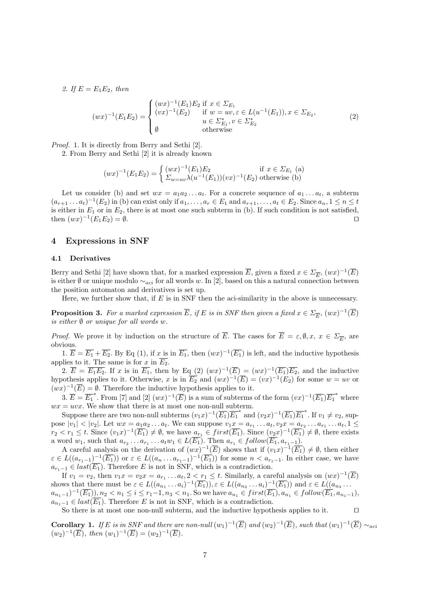*2.* If  $E = E_1 E_2$ *, then* 

$$
(wx)^{-1}(E_1E_2) = \begin{cases} (wx)^{-1}(E_1)E_2 \text{ if } x \in \Sigma_{E_1} \\ (vx)^{-1}(E_2) & \text{if } w = uv, \varepsilon \in L(u^{-1}(E_1)), x \in \Sigma_{E_2}, \\ u \in \Sigma_{E_1}^*, v \in \Sigma_{E_2}^* \\ \emptyset & \text{otherwise} \end{cases}
$$
(2)

*Proof.* 1. It is directly from Berry and Sethi [2].

2. From Berry and Sethi [2] it is already known

$$
(wx)^{-1}(E_1E_2) = \begin{cases} (wx)^{-1}(E_1)E_2 & \text{if } x \in \Sigma_{E_1} \text{ (a)}\\ \Sigma_{w=uv} \lambda(u^{-1}(E_1))(vx)^{-1}(E_2) & \text{otherwise (b)} \end{cases}
$$

Let us consider (b) and set  $wx = a_1a_2...a_t$ . For a concrete sequence of  $a_1...a_t$ , a subterm  $(a_{r+1}\dots a_t)^{-1}(E_2)$  in (b) can exist only if  $a_1,\dots,a_r\in E_1$  and  $a_{r+1},\dots,a_t\in E_2$ . Since  $a_n, 1\leq n\leq t$ is either in *E*<sup>1</sup> or in *E*2, there is at most one such subterm in (b). If such condition is not satisfied,  $\tan (wx)^{-1}(E_1E_2) = \emptyset.$ 

# **4 Expressions in SNF**

#### **4.1 Derivatives**

Berry and Sethi [2] have shown that, for a marked expression  $\overline{E}$ , given a fixed  $x \in \Sigma_{\overline{E}}$ ,  $(wx)^{-1}(\overline{E})$ is either *∅* or unique modulo *∼aci* for all words *w*. In [2], based on this a natural connection between the position automaton and derivatives is set up.

Here, we further show that, if *E* is in SNF then the aci-similarity in the above is unnecessary.

**Proposition 3.** For a marked expression  $\overline{E}$ , if  $E$  is in SNF then given a fixed  $x \in \Sigma_{\overline{E}}$ ,  $(wx)^{-1}(\overline{E})$ *is either ∅ or unique for all words w.*

*Proof.* We prove it by induction on the structure of *E*. The cases for  $E = \varepsilon, \emptyset, x, x \in \Sigma_{\overline{E}}$ , are obvious.

1.  $\overline{E} = \overline{E_1} + \overline{E_2}$ . By Eq (1), if *x* is in  $\overline{E_1}$ , then  $(wx)^{-1}(\overline{E_1})$  is left, and the inductive hypothesis applies to it. The same is for *x* in  $\overline{E_2}$ .

2.  $\overline{E} = \overline{E_1 E_2}$ . If *x* is in  $\overline{E_1}$ , then by Eq (2)  $(wx)^{-1}(\overline{E}) = (wx)^{-1}(\overline{E_1})\overline{E_2}$ , and the inductive hypothesis applies to it. Otherwise, *x* is in  $\overline{E_2}$  and  $(wx)^{-1}(\overline{E}) = (vx)^{-1}(E_2)$  for some  $w = uv$  or  $(wx)^{-1}(\overline{E}) = \emptyset$ . Therefore the inductive hypothesis applies to it.

3.  $\overline{E} = \overline{E_1}^*$ . From [7] and [2]  $(wx)^{-1}(\overline{E})$  is a sum of subterms of the form  $(vx)^{-1}(\overline{E_1})\overline{E_1}^*$  where  $wx = uvx$ . We show that there is at most one non-null subterm.

Suppose there are two non-null subterms  $(v_1x)^{-1}(\overline{E_1})\overline{E_1}^*$  and  $(v_2x)^{-1}(\overline{E_1})\overline{E_1}^*$ . If  $v_1 \neq v_2$ , suppose  $|v_1|$  <  $|v_2|$ . Let  $wx = a_1a_2...a_t$ . We can suppose  $v_1x = a_{r_1}...a_t$ ,  $v_2x = a_{r_2}...a_{r_1}...a_t$ ,  $1 \le$  $r_2 < r_1 \leq t$ . Since  $(v_1x)^{-1}(\overline{E_1}) \neq \emptyset$ , we have  $a_{r_1} \in first(\overline{E_1})$ . Since  $(v_2x)^{-1}(\overline{E_1}) \neq \emptyset$ , there exists a word  $w_1$ , such that  $a_{r_2} \ldots a_{r_1} \ldots a_t w_1 \in L(E_1)$ . Then  $a_{r_1} \in follow(E_1, a_{r_1-1})$ .

A careful analysis on the derivation of  $(wx)^{-1}(\overline{E})$  shows that if  $(v_1x)^{-1}(\overline{E_1}) \neq \emptyset$ , then either  $\varepsilon \in L((a_{r_1-1})^{-1}(\overline{E_1}))$  or  $\varepsilon \in L((a_n \ldots a_{r_1-1})^{-1}(\overline{E_1}))$  for some  $n < a_{r_1-1}$ . In either case, we have  $a_{r_1-1} \in last(\overline{E_1})$ . Therefore *E* is not in SNF, which is a contradiction.

If  $v_1 = v_2$ , then  $v_1x = v_2x = a_{r_1} \ldots a_t$ ,  $2 < r_1 \leq t$ . Similarly, a careful analysis on  $(wx)^{-1}(\overline{E})$ shows that there must be  $\varepsilon \in L((a_{n_1} \ldots a_i)^{-1}(\overline{E_1})), \varepsilon \in L((a_{n_2} \ldots a_i)^{-1}(\overline{E_1}))$  and  $\varepsilon \in L((a_{n_3} \ldots a_i)^{-1}(\overline{E_1}))$  $a_{n_1-1})^{-1}(\overline{E_1})\_n_2 < n_1 \leq i \leq r_1-1, n_3 < n_1$ . So we have  $a_{n_1} \in first(\overline{E_1})$ ,  $a_{n_1} \in follow(\overline{E_1}, a_{n_1-1})$ ,  $a_{n_1-1} \in last(\overline{E_1})$ . Therefore *E* is not in SNF, which is a contradiction.

So there is at most one non-null subterm, and the inductive hypothesis applies to it. *⊓⊔*

**Corollary 1.** If E is in SNF and there are non-null  $(w_1)^{-1}(\overline{E})$  and  $(w_2)^{-1}(\overline{E})$ , such that  $(w_1)^{-1}(\overline{E}) \sim_{aci}$  $(w_2)^{-1}(\overline{E}), \text{ then } (w_1)^{-1}(\overline{E}) = (w_2)^{-1}(\overline{E}).$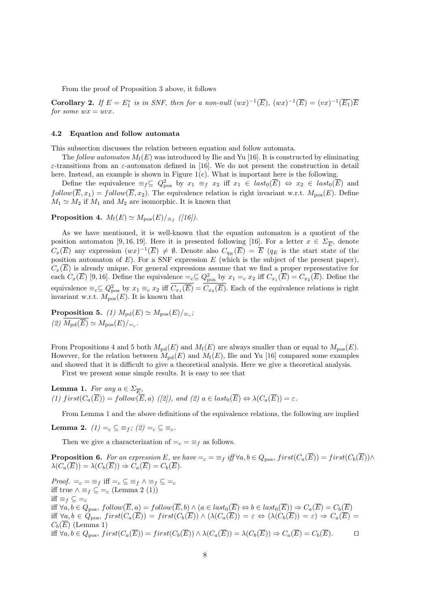From the proof of Proposition 3 above, it follows

**Corollary 2.** If  $E = E_1^*$  is in SNF, then for a non-null  $(wx)^{-1}(\overline{E})$ ,  $(wx)^{-1}(\overline{E}) = (vx)^{-1}(\overline{E_1})\overline{E}$ *for some*  $wx = uvx$ *.* 

#### **4.2 Equation and follow automata**

This subsection discusses the relation between equation and follow automata.

The *follow automaton*  $M_f(E)$  was introduced by Ilie and Yu [16]. It is constructed by eliminating *ε*-transitions from an *ε*-automaton defined in [16]. We do not present the construction in detail here. Instead, an example is shown in Figure  $1(c)$ . What is important here is the following.

Define the equivalence  $\equiv_f \subseteq Q_{\text{pos}}^2$  by  $x_1 \equiv_f x_2$  iff  $x_1 \in \text{last}_0(\overline{E}) \Leftrightarrow x_2 \in \text{last}_0(\overline{E})$  and  $follow(\overline{E}, x_1) = follow(\overline{E}, x_2)$ . The equivalence relation is right invariant w.r.t.  $M_{pos}(E)$ . Define  $M_1 \simeq M_2$  if  $M_1$  and  $M_2$  are isomorphic. It is known that

 ${\bf Proposition 4.}$   $M_f(E) \simeq M_{\rm pos}(E)/_{\equiv_f}$  ([16]).

As we have mentioned, it is well-known that the equation automaton is a quotient of the position automaton [9, 16, 19]. Here it is presented following [16]. For a letter  $x \in \Sigma_{\overline{E}}$ , denote  $C_x(\overline{E})$  any expression  $(wx)^{-1}(\overline{E}) \neq \emptyset$ . Denote also  $C_{q_E}(\overline{E}) = \overline{E}$  ( $q_E$  is the start state of the position automaton of *E*). For a SNF expression *E* (which is the subject of the present paper),  $C_x(\overline{E})$  is already unique. For general expressions assume that we find a proper representative for each  $C_x(\overline{E})$  [9, 16]. Define the equivalence  $=_c \subseteq Q_{\text{pos}}^2$  by  $x_1 =_c x_2$  iff  $C_{x_1}(\overline{E}) = C_{x_2}(\overline{E})$ . Define the equivalence  $\equiv_c \subseteq Q_{\text{pos}}^2$  by  $x_1 \equiv_c x_2$  iff  $C_{x_1}(\overline{E}) = C_{x_2}(\overline{E})$ . Each of the equivalence relations is right invariant w.r.t.  $\hat{M}_{\text{pos}}(E)$ . It is known that

 ${\bf Proposition 5.}$  *(1)*  $M_{\rm pd}(E) \simeq M_{\rm pos}(E)/_{\equiv_c}$ ;  $(2)$   $M_{\text{pd}}(E) \simeq M_{\text{pos}}(E)/_{\text{=}c}$ .

From Propositions 4 and 5 both  $M_{\text{pd}}(E)$  and  $M_{\text{f}}(E)$  are always smaller than or equal to  $M_{\text{pos}}(E)$ . However, for the relation between  $M_{\text{pd}}(E)$  and  $M_{\text{f}}(E)$ , Ilie and Yu [16] compared some examples and showed that it is difficult to give a theoretical analysis. Here we give a theoretical analysis.

First we present some simple results. It is easy to see that

Lemma 1. *For any*  $a \in \Sigma_{\overline{E}}$ ,  $(1)$   $first(C_a(E)) = follow(E, a)$   $([2]),$  and  $(2)$   $a \in last_0(E) \Leftrightarrow \lambda(C_a(E)) = \varepsilon$ .

From Lemma 1 and the above definitions of the equivalence relations, the following are implied

**Lemma 2.**  $(1) = c \subseteq f$   $\in$   $(2) = c \subseteq g$ 

Then we give a characterization of  $=$ <sub>*c*</sub> =  $\equiv$ <sub>*f*</sub> as follows.

**Proposition 6.** For an expression E, we have  $=\infty = \equiv_f i\text{ff} \forall a, b \in Q_{\text{pos}}, \text{first}(C_a(\overline{E})) = \text{first}(C_b(\overline{E})) \wedge$  $\lambda(C_a(\overline{E})) = \lambda(C_b(\overline{E})) \Rightarrow C_a(\overline{E}) = C_b(\overline{E}).$ 

*Proof.*  $=_c = \equiv_f \text{ iff } =_c \subseteq \equiv_f \land \equiv_f \subseteq =_c$ iff true  $\land \equiv_f \subseteq =_c$  (Lemma 2 (1)) iff  $\equiv$ *f*  $\subseteq$   $=$ *c* iff  $\forall a, b \in Q_{\text{pos}}, follow(E, a) = follow(E, b) \land (a \in last_0(E) \Leftrightarrow b \in last_0(E)) \Rightarrow C_a(E) = C_b(E)$ iff  $\forall a, b \in Q_{\text{pos}}, \text{first}(C_a(E)) = \text{first}(C_b(E)) \land (\lambda(C_a(E)) = \varepsilon \Leftrightarrow (\lambda(C_b(E)) = \varepsilon) \Rightarrow C_a(E) =$  $C_b(\overline{E})$  (Lemma 1) iff  $\forall a, b \in Q_{pos}$ ,  $first(C_a(\overline{E})) = first(C_b(\overline{E})) \wedge \lambda(C_a(\overline{E})) = \lambda(C_b(\overline{E})) \Rightarrow C_a(\overline{E}) = C_b(\overline{E}).$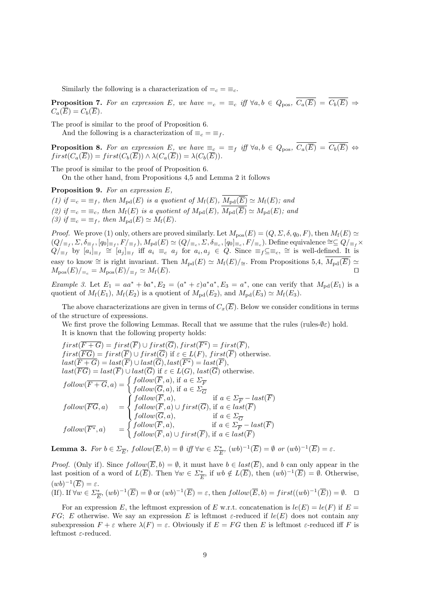Similarly the following is a characterization of  $=$ <sub>*c*</sub>  $=$   $\equiv$ <sub>*c*</sub>.

**Proposition 7.** For an expression E, we have  $=_{c} = \equiv_{c}$  iff  $\forall a, b \in Q_{\text{pos}}, \overline{C_{a}(\overline{E})} = \overline{C_{b}(\overline{E})} \Rightarrow$  $C_a(\overline{E}) = C_b(\overline{E})$ .

The proof is similar to the proof of Proposition 6.

And the following is a characterization of  $\equiv_c \equiv \equiv_f$ .

**Proposition 8.** For an expression E<sub>1</sub> we have  $\equiv_c = \equiv_f$  iff  $\forall a, b \in Q_{pos}$ ,  $\overline{C_a(\overline{E})} = \overline{C_b(\overline{E})} \Leftrightarrow$  $first(C_a(\overline{E})) = first(C_b(\overline{E})) \wedge \lambda(C_a(\overline{E})) = \lambda(C_b(\overline{E})).$ 

The proof is similar to the proof of Proposition 6.

On the other hand, from Propositions 4,5 and Lemma 2 it follows

**Proposition 9.** *For an expression E,*

(1) if  $=$ <sub>*c*</sub> =  $\equiv$  *f*, then  $M_{\text{pd}}(E)$  is a quotient of  $M_{\text{f}}(E)$ ,  $\overline{M_{\text{pd}}(E)} \simeq M_{\text{f}}(E)$ ; and (2) if  $=$ <sub>*c*</sub>  $=$   $\equiv$ <sub>*c*</sub>*,* then  $M_f(E)$  is a quotient of  $M_{pd}(E)$ ,  $\overline{M_{pd}(E)} \simeq M_{pd}(E)$ ; and *(3) if*  $\equiv$ <sub>*c*</sub> =  $\equiv$ <sub>*f*</sub>, *then M*<sub>pd</sub>(*E*)  $\simeq$  *M*<sub>f</sub>(*E*)*.* 

*Proof.* We prove (1) only, others are proved similarly. Let  $M_{\text{pos}}(E) = (Q, \Sigma, \delta, q_0, F)$ , then  $M_f(E) \simeq$  $(Q/_{\equiv_f}, \Sigma, \delta_{\equiv_f}, [q_0]_{\equiv_f}, F/_{\equiv_f}), M_{\mathrm{pd}}(E) \simeq (Q/_{\equiv_c}, \Sigma, \delta_{\equiv_c}, [q_0]_{\equiv_c}, F/_{\equiv_c}).$  Define equivalence  $\cong \subseteq Q/_{\equiv_f} \times$  $Q/_{\equiv_f}$  by  $[a_i]_{\equiv_f} \cong [a_j]_{\equiv_f}$  iff  $a_i \equiv_c a_j$  for  $a_i, a_j \in Q$ . Since  $\equiv_f \subseteq \equiv_c \approx$  is well-defined. It is easy to know  $\cong$  is right invariant. Then  $M_{\text{pd}}(E) \cong M_{\text{f}}(E)/_{\cong}$ . From Propositions 5,4,  $M_{\text{pd}}(E) \cong$  $M_{\text{pos}}(E)/_{\equiv c} = M_{\text{pos}}(E)/_{\equiv f} \simeq M_{\text{f}}(E).$ 

*Example 3.* Let  $E_1 = aa^* + ba^*$ ,  $E_2 = (a^* + \varepsilon)a^*a^*$ ,  $E_3 = a^*$ , one can verify that  $M_{\text{pd}}(E_1)$  is a quotient of  $M_f(E_1)$ ,  $M_f(E_2)$  is a quotient of  $M_{\text{pd}}(E_2)$ , and  $M_{\text{pd}}(E_3) \simeq M_f(E_3)$ .

The above characterizations are given in terms of  $C_x(\overline{E})$ . Below we consider conditions in terms of the structure of expressions.

We first prove the following Lemmas. Recall that we assume that the rules (rules-*∅ε*) hold. It is known that the following property holds:

$$
first(F+G) = first(F) \cup first(G), first(F^*) = first(F),
$$
\n
$$
first(\overline{FG}) = first(\overline{F}) \cup first(\overline{G}) \text{ if } \varepsilon \in L(F), first(\overline{F}) \text{ otherwise.}
$$
\n
$$
last(\overline{F+G}) = last(\overline{F}) \cup last(\overline{G}), last(\overline{F^*}) = last(\overline{F}),
$$
\n
$$
last(\overline{FG}) = last(\overline{F}) \cup last(\overline{G}), last(\overline{F^*}) = last(\overline{F}),
$$
\n
$$
last(\overline{FG}) = last(\overline{F}) \cup last(\overline{G}), last(\overline{G}), last(\overline{G}) \text{ otherwise.}
$$
\n
$$
follow(\overline{F+G}, a) = \begin{cases} follow(\overline{F}, a), & \text{if } a \in \Sigma_{\overline{F}} \\ follow(\overline{F}, a), & \text{if } a \in \Sigma_{\overline{F}} - last(\overline{F}) \\ follow(\overline{F}, a) & \text{if } a \in \Sigma_{\overline{G}} \\ follow(\overline{F}, a), & \text{if } a \in \Sigma_{\overline{G}} \end{cases}
$$
\n
$$
follow(\overline{F^*}, a) = \begin{cases} follow(\overline{F}, a), & \text{if } a \in \Sigma_{\overline{F}} - last(\overline{F}) \\ follow(\overline{F}, a), & \text{if } a \in \Sigma_{\overline{F}} - last(\overline{F}) \\ follow(\overline{F}, a) \cup first(\overline{F}), \text{if } a \in last(\overline{F}) \end{cases}
$$

**Lemma 3.** For  $b \in \Sigma_{\overline{E}}$ ,  $follow(\overline{E}, b) = \emptyset$  iff  $\forall w \in \Sigma_{\overline{E}}^*$ ,  $(wb)^{-1}(\overline{E}) = \emptyset$  or  $(wb)^{-1}(\overline{E}) = \varepsilon$ .

*Proof.* (Only if). Since  $follow(E, b) = \emptyset$ , it must have  $b \in last(E)$ , and b can only appear in the last position of a word of  $L(\overline{E})$ . Then  $\forall w \in \Sigma_{\overline{E}}^*$ , if  $wb \notin L(\overline{E})$ , then  $(wb)^{-1}(\overline{E}) = \emptyset$ . Otherwise,  $(wb)^{-1}(\overline{E}) = \varepsilon.$ 

(If). If 
$$
\forall w \in \Sigma_{\overline{E}}^*
$$
,  $(wb)^{-1}(\overline{E}) = \emptyset$  or  $(wb)^{-1}(\overline{E}) = \varepsilon$ , then  $follow(\overline{E}, b) = first((wb)^{-1}(\overline{E})) = \emptyset$ .  $\Box$ 

For an expression *E*, the leftmost expression of *E* w.r.t. concatenation is  $le(E) = le(F)$  if  $E =$ *FG*; *E* otherwise. We say an expression *E* is leftmost  $\varepsilon$ -reduced if  $le(E)$  does not contain any subexpression  $F + \varepsilon$  where  $\lambda(F) = \varepsilon$ . Obviously if  $E = FG$  then *E* is leftmost  $\varepsilon$ -reduced iff *F* is leftmost *ε*-reduced.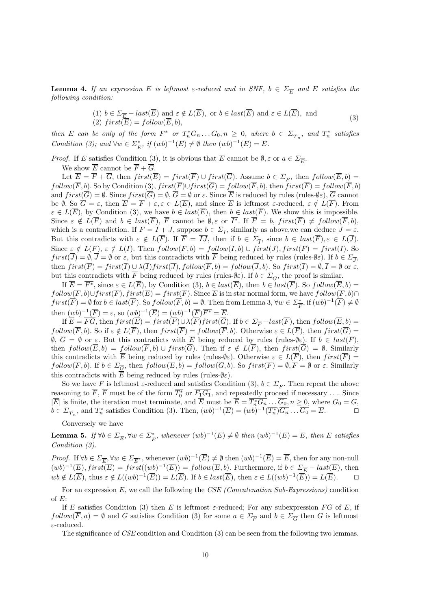**Lemma 4.** *If an expression*  $E$  *is leftmost*  $\varepsilon$ -reduced and in SNF,  $b \in \Sigma_{\overline{E}}$  and  $E$  satisfies the *following condition:*

(1) 
$$
b \in \Sigma_{\overline{E}} - last(\overline{E})
$$
 and  $\varepsilon \notin L(\overline{E})$ , or  $b \in last(\overline{E})$  and  $\varepsilon \in L(\overline{E})$ , and  
(2)  $first(\overline{E}) = follow(\overline{E}, b)$ , (3)

then E can be only of the form  $F^*$  or  $T_n^*G_n \dots G_0$ ,  $n \geq 0$ , where  $b \in \Sigma_{\overline{T}_n}$ , and  $T_n^*$  satisfies *Condition (3);* and  $\forall w \in \Sigma_{\overline{E}}^*$ , if  $(wb)^{-1}(\overline{E}) \neq \emptyset$  then  $(wb)^{-1}(\overline{E}) = \overline{E}$ .

*Proof.* If *E* satisfies Condition (3), it is obvious that *E* cannot be  $\emptyset$ ,  $\varepsilon$  or  $a \in \Sigma_{\overline{E}}$ .

We show  $\overline{E}$  cannot be  $\overline{F} + \overline{G}$ .

Let  $E = F + G$ , then  $first(E) = first(F) \cup first(G)$ . Assume  $b \in \Sigma_{\overline{F}}$ , then  $follow(E, b)$  $f\text{ollow}(\overline{F}, b)$ . So by Condition (3),  $first(\overline{F}) \cup first(\overline{G}) = follow(\overline{F}, b)$ , then  $first(\overline{F}) = follow(\overline{F}, b)$ and  $first(\overline{G}) = \emptyset$ . Since  $first(\overline{G}) = \emptyset$ ,  $\overline{G} = \emptyset$  or  $\varepsilon$ . Since  $\overline{E}$  is reduced by rules (rules- $\emptyset \varepsilon$ ),  $\overline{G}$  cannot be  $\emptyset$ . So  $\overline{G} = \varepsilon$ , then  $\overline{E} = \overline{F} + \varepsilon, \varepsilon \in L(\overline{E})$ , and since  $\overline{E}$  is leftmost  $\varepsilon$ -reduced,  $\varepsilon \notin L(\overline{F})$ . From  $\varepsilon \in L(\overline{E})$ , by Condition (3), we have  $b \in last(\overline{E})$ , then  $b \in last(\overline{F})$ . We show this is impossible. Since  $\varepsilon \notin L(F)$  and  $b \in last(F)$ , F cannot be  $\emptyset$ ,  $\varepsilon$  or  $I^*$ . If  $F = b$ ,  $first(F) \neq follow(F, b)$ , which is a contradiction. If  $F = I + J$ , suppose  $b \in \Sigma_{\overline{I}}$ , similarly as above, we can deduce  $J = \varepsilon$ . But this contradicts with  $\varepsilon \notin L(F)$ . If  $F = IJ$ , then if  $b \in \Sigma_{\overline{I}}$ , since  $b \in last(F)$ ,  $\varepsilon \in L(J)$ . Since  $\varepsilon \notin L(\overline{F})$ ,  $\varepsilon \notin L(\overline{I})$ . Then  $follow(\overline{F}, b) = follow(\overline{I}, b) \cup first(\overline{J})$ ,  $first(\overline{F}) = first(\overline{I})$ . So  $first(J) = \emptyset, J = \emptyset$  or  $\varepsilon$ , but this contradicts with *F* being reduced by rules (rules- $\emptyset \varepsilon$ ). If  $b \in \Sigma_{\overline{J}},$ then  $first(\overline{F}) = first(\overline{I}) \cup \lambda(\overline{I}) first(\overline{J}), follow(\overline{F}, b) = follow(\overline{J}, b).$  So  $first(\overline{I}) = \emptyset, \overline{I} = \emptyset$  or  $\varepsilon$ , but this contradicts with *F* being reduced by rules (rules- $\emptyset \varepsilon$ ). If  $b \in \Sigma_{\overline{G}}$ , the proof is similar.

If  $\overline{E} = \overline{F^*}$ , since  $\varepsilon \in L(\overline{E})$ , by Condition (3),  $b \in last(\overline{E})$ , then  $b \in last(\overline{F})$ . So  $follow(\overline{E}, b) =$ *follow*( $\overline{F}$ *, b*)∪*first*( $\overline{F}$ )*, first*( $\overline{E}$ ) = *first*( $\overline{F}$ ). Since  $\overline{E}$  is in star normal form, we have *follow*( $\overline{F}$ *, b*)∩  $first(\overline{F}) = \emptyset$  for  $b \in last(\overline{F})$ . So  $follow(\overline{F}, b) = \emptyset$ . Then from Lemma 3,  $\forall w \in \Sigma^*_{\overline{F}}$ , if  $(wb)^{-1}(\overline{F}) \neq \emptyset$ then  $(wb)^{-1}(\overline{F}) = \varepsilon$ , so  $(wb)^{-1}(\overline{E}) = (wb)^{-1}(\overline{F})\overline{F^*} = \overline{E}$ .

If  $E = FG$ , then  $first(E) = first(F) \cup \lambda(F) first(G)$ . If  $b \in \Sigma_{\overline{F}} - last(F)$ , then  $follow(E, b) =$  $f\text{ollow}(F, b)$ . So if  $\varepsilon \notin L(F)$ , then  $first(F) = follow(F, b)$ . Otherwise  $\varepsilon \in L(F)$ , then  $first(G) =$  $\emptyset$ ,  $G = \emptyset$  or  $\varepsilon$ . But this contradicts with *E* being reduced by rules (rules- $\emptyset \varepsilon$ ). If  $b \in last(F)$ , then  $follow(\overline{E}, b) = follow(\overline{F}, b) \cup first(\overline{G})$ . Then if  $\varepsilon \notin L(\overline{F})$ , then  $first(\overline{G}) = \emptyset$ . Similarly this contradicts with *E* being reduced by rules (rules- $\emptyset$ *ε*). Otherwise  $\varepsilon \in L(F)$ , then  $first(F)$  $f\text{ollow}(F, b)$ . If  $b \in \Sigma_{\overline{G}}$ , then  $f\text{ollow}(E, b) = f\text{ollow}(G, b)$ . So  $first(F) = \emptyset$ ,  $F = \emptyset$  or  $\varepsilon$ . Similarly this contradicts with  $\overline{E}$  being reduced by rules (rules- $\emptyset \varepsilon$ ).

So we have *F* is leftmost  $\varepsilon$ -reduced and satisfies Condition (3),  $b \in \Sigma_{\overline{F}}$ . Then repeat the above reasoning to *F*, *F* must be of the form  $T_0^*$  or  $F_1G_1$ , and repeatedly proceed if necessary .... Since *IE* is finite, the iteration must terminate, and *E* must be  $E = T_n^* G_n \dots G_0$ ,  $n \geq 0$ , where  $G_0 = G$ ,  $b \in \Sigma_{\overline{T}_n}$ , and  $T_n^*$  satisfies Condition (3). Then,  $(wb)^{-1}(\overline{E}) = (wb)^{-1}(\overline{T_n^*})\overline{G_n} \dots \overline{G_0} = \overline{E}$ .

Conversely we have

**Lemma 5.** If  $\forall b \in \Sigma_{\overline{E}}, \forall w \in \Sigma_{\overline{E}}^*$ , whenever  $(wb)^{-1}(\overline{E}) \neq \emptyset$  then  $(wb)^{-1}(\overline{E}) = \overline{E}$ , then E satisfies *Condition (3).*

*Proof.* If  $\forall b \in \Sigma_{\overline{E}}, \forall w \in \Sigma_{\overline{E}^*}$ , whenever  $(wb)^{-1}(\overline{E}) \neq \emptyset$  then  $(wb)^{-1}(\overline{E}) = \overline{E}$ , then for any non-null  $(wb)^{-1}(\overline{E}), first(\overline{E}) = first((wb)^{-1}(\overline{E})) = follow(\overline{E}, b).$  Furthermore, if  $b \in \Sigma_{\overline{E}} - last(\overline{E}),$  then  $wb \notin L(\overline{E}),$  thus  $\varepsilon \notin L((wb)^{-1}(\overline{E})) = L(\overline{E}).$  If  $b \in last(\overline{E}),$  then  $\varepsilon \in L((wb)^{-1}(\overline{E})) = L(\overline{E}).$ 

For an expression *E*, we call the following the *CSE (Concatenation Sub-Expressions)* condition of *E*:

If *E* satisfies Condition (3) then *E* is leftmost  $\varepsilon$ -reduced; For any subexpression *FG* of *E*, if  $f_{\text{ol}}(F, a) = \emptyset$  and *G* satisfies Condition (3) for some  $a \in \Sigma_{\overline{F}}$  and  $b \in \Sigma_{\overline{G}}$  then *G* is leftmost *ε*-reduced.

The significance of *CSE* condition and Condition (3) can be seen from the following two lemmas.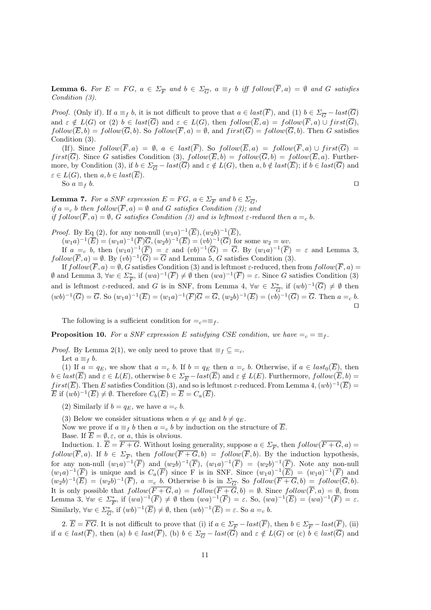**Lemma 6.** For  $E = FG$ ,  $a \in \Sigma_{\overline{F}}$  and  $b \in \Sigma_{\overline{G}}$ ,  $a \equiv_f b$  iff  $follow(F, a) = \emptyset$  and G satisfies *Condition (3).*

*Proof.* (Only if). If  $a \equiv_f b$ , it is not difficult to prove that  $a \in last(\overline{F})$ , and (1)  $b \in \Sigma_{\overline{G}} - last(\overline{G})$ and  $\varepsilon \notin L(G)$  or (2)  $b \in last(\overline{G})$  and  $\varepsilon \in L(G)$ , then  $follow(\overline{E}, a) = follow(\overline{F}, a) \cup first(\overline{G})$ ,  $f\text{ollow}(\overline{E}, b) = f\text{ollow}(\overline{G}, b)$ . So  $f\text{ollow}(\overline{F}, a) = \emptyset$ , and  $f\text{irst}(\overline{G}) = f\text{ollow}(\overline{G}, b)$ . Then *G* satisfies Condition (3).

(If). Since  $\text{follow}(\overline{F}, a) = \emptyset$ ,  $a \in last(\overline{F})$ . So  $\text{follow}(\overline{E}, a) = \text{ follow}(\overline{F}, a) \cup \text{first}(\overline{G}) =$ *first*( $\overline{G}$ ). Since *G* satisfies Condition (3),  $follow(\overline{E}, b) = follow(\overline{G}, b) = follow(\overline{E}, a)$ . Furthermore, by Condition (3), if  $b \in \Sigma_{\overline{G}} - last(\overline{G})$  and  $\varepsilon \notin L(G)$ , then  $a, b \notin last(\overline{E})$ ; if  $b \in last(\overline{G})$  and  $\varepsilon \in L(G)$ , then  $a, b \in last(\overline{E})$ .

So  $a \equiv_f b$ .  $\Box$ 

**Lemma 7.** *For a SNF expression*  $E = FG$ *,*  $a \in \Sigma_{\overline{F}}$  and  $b \in \Sigma_{\overline{G}}$ *, if*  $a = c$  *b then*  $f$ *ollow*( $\overline{F}$ *,a*) =  $\emptyset$  *and G satisfies Condition (3); and if*  $\text{follow}(\overline{F}, a) = \emptyset$ , *G satisfies Condition* (3) and *is leftmost*  $\varepsilon$ -reduced then  $a =_c b$ .

*Proof.* By Eq (2), for any non-null  $(w_1a)^{-1}(\overline{E})$ ,  $(w_2b)^{-1}(\overline{E})$ ,

 $(w_1a)^{-1}(\overline{E}) = (w_1a)^{-1}(\overline{F})\overline{G}, (w_2b)^{-1}(\overline{E}) = (vb)^{-1}(\overline{G})$  for some  $w_2 = uv$ . If  $a =_c b$ , then  $(w_1a)^{-1}(\overline{F}) = \varepsilon$  and  $(vb)^{-1}(\overline{G}) = \overline{G}$ . By  $(w_1a)^{-1}(\overline{F}) = \varepsilon$  and Lemma 3,  $f\text{ollow}(\overline{F}, a) = \emptyset$ . By  $(vb)^{-1}(\overline{G}) = \overline{G}$  and Lemma 5, *G* satisfies Condition (3).

If  $follow(\overline{F}, a) = \emptyset$ , *G* satisfies Condition (3) and is leftmost  $\varepsilon$ -reduced, then from  $follow(\overline{F}, a)$ *Φ* and Lemma 3,  $\forall w \in \Sigma^*$ , if  $(wa)^{-1}(\overline{F}) \neq \emptyset$  then  $(wa)^{-1}(\overline{F}) = \varepsilon$ . Since *G* satisfies Condition (3) and is leftmost  $\varepsilon$ -reduced, and *G* is in SNF, from Lemma 4,  $\forall w \in \Sigma_{\overline{G}}^*$ , if  $(wb)^{-1}(\overline{G}) \neq \emptyset$  then  $(wb)^{-1}(\overline{G}) = \overline{G}$ . So  $(w_1a)^{-1}(\overline{E}) = (w_1a)^{-1}(\overline{F})\overline{G} = \overline{G}$ ,  $(w_2b)^{-1}(\overline{E}) = (vb)^{-1}(\overline{G}) = \overline{G}$ . Then  $a =_c b$ . *⊓⊔*

The following is a sufficient condition for  $=$ <sub>*c*</sub> $=$  $\equiv$ <sub>*f*</sub>.

**Proposition 10.** For a SNF expression E satisfying CSE condition, we have  $=$ <sub>c</sub>  $=$   $\equiv$   $\neq$ .

*Proof.* By Lemma 2(1), we only need to prove that  $\equiv_f \subseteq \equiv_c$ .

Let  $a \equiv_f b$ .

(1) If  $a = q_E$ , we show that  $a =_c b$ . If  $b = q_E$  then  $a =_c b$ . Otherwise, if  $a \in last_0(\overline{E})$ , then  $b \in last(\overline{E})$  and  $\varepsilon \in L(E)$ , otherwise  $b \in \Sigma_{\overline{E}} - last(\overline{E})$  and  $\varepsilon \notin L(E)$ . Furthermore,  $follow(\overline{E}, b) =$ *first*( $\overline{E}$ ). Then *E* satisfies Condition (3), and so is leftmost  $\varepsilon$ -reduced. From Lemma 4,  $(wb)^{-1}(\overline{E}) =$  $\overline{E}$  if  $(wb)^{-1}(\overline{E}) \neq \emptyset$ . Therefore  $C_b(\overline{E}) = \overline{E} = C_a(\overline{E})$ .

(2) Similarly if  $b = q_E$ , we have  $a =_c b$ .

(3) Below we consider situations when  $a \neq q_E$  and  $b \neq q_E$ .

Now we prove if  $a \equiv_f b$  then  $a =_c b$  by induction on the structure of  $\overline{E}$ .

Base. If  $\overline{E} = \emptyset$ ,  $\varepsilon$ , or *a*, this is obvious.

Induction. 1.  $E = F + G$ . Without losing generality, suppose  $a \in \Sigma_{\overline{F}}$ , then  $follow(F + G, a)$  $f\text{ollow}(F, a)$ . If  $b \in \Sigma_{\overline{F}}$ , then  $f\text{ollow}(F + G, b) = f\text{ollow}(F, b)$ . By the induction hypothesis, for any non-null  $(w_1a)^{-1}(\overline{F})$  and  $(w_2b)^{-1}(\overline{F})$ ,  $(w_1a)^{-1}(\overline{F}) = (w_2b)^{-1}(\overline{F})$ . Note any non-null  $(w_1a)^{-1}(\overline{F})$  is unique and is  $C_a(\overline{F})$  since F is in SNF. Since  $(w_1a)^{-1}(\overline{E}) = (w_1a)^{-1}(\overline{F})$  and  $(w_2b)^{-1}(\overline{E}) = (w_2b)^{-1}(\overline{F})$ ,  $a =_c b$ . Otherwise b is in  $\Sigma_{\overline{G}}$ . So  $follow(\overline{F+G}, b) = follow(\overline{G}, b)$ . It is only possible that  $f\text{ollow}(F+G, a) = f\text{ollow}(F+G, b) = \emptyset$ . Since  $f\text{ollow}(F, a) = \emptyset$ , from Lemma 3,  $\forall w \in \Sigma_{\overline{F}}^*$ , if  $(wa)^{-1}(\overline{F}) \neq \emptyset$  then  $(wa)^{-1}(\overline{F}) = \varepsilon$ . So,  $(wa)^{-1}(\overline{E}) = (wa)^{-1}(\overline{F}) = \varepsilon$ . Similarly,  $\forall w \in \Sigma_{\overline{G}}^*$ , if  $(wb)^{-1}(\overline{E}) \neq \emptyset$ , then  $(wb)^{-1}(\overline{E}) = \varepsilon$ . So  $a =_c b$ .

2.  $\overline{E} = \overline{FG}$ . It is not difficult to prove that (i) if  $a \in \Sigma_{\overline{F}} - \text{last}(\overline{F})$ , then  $b \in \Sigma_{\overline{F}} - \text{last}(\overline{F})$ , (ii) if  $a \in last(\overline{F})$ , then (a)  $b \in last(\overline{F})$ , (b)  $b \in \Sigma_{\overline{G}} - last(\overline{G})$  and  $\varepsilon \notin L(G)$  or (c)  $b \in last(\overline{G})$  and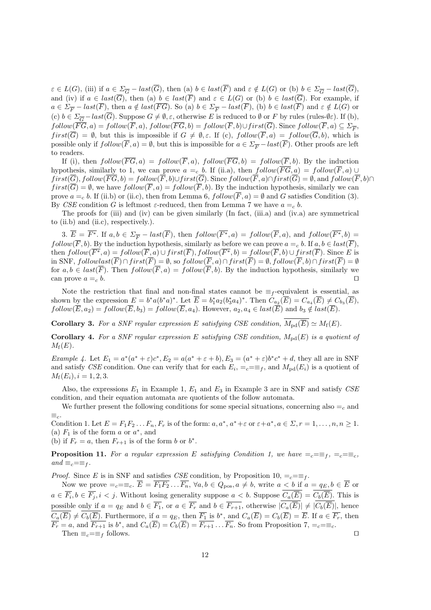$\varepsilon \in L(G)$ , (iii) if  $a \in \Sigma_{\overline{G}} - last(\overline{G})$ , then (a)  $b \in last(\overline{F})$  and  $\varepsilon \notin L(G)$  or (b)  $b \in \Sigma_{\overline{G}} - last(\overline{G})$ , and (iv) if  $a \in last(\overline{G})$ , then (a)  $b \in last(\overline{F})$  and  $\varepsilon \in L(G)$  or (b)  $b \in last(\overline{G})$ . For example, if  $a \in \Sigma_{\overline{F}} - last(\overline{F})$ , then  $a \notin last(\overline{FG})$ . So (a)  $b \in \Sigma_{\overline{F}} - last(\overline{F})$ , (b)  $b \in last(\overline{F})$  and  $\varepsilon \notin L(G)$  or (c)  $b \in \Sigma_{\overline{G}} - last(\overline{G})$ . Suppose  $G \neq \emptyset$ ,  $\varepsilon$ , otherwise *E* is reduced to  $\emptyset$  or *F* by rules (rules- $\emptyset \varepsilon$ ). If (b),  $f_{\text{ol}}(FG, a) = f_{\text{ol}}(F, a), f_{\text{ol}}(FG, b) = f_{\text{ol}}(F, b) \cup first(G)$ . Since  $f_{\text{ol}}(F, a) \subseteq \Sigma_{\overline{F}}$ , *first*( $\overline{G}$ ) =  $\emptyset$ , but this is impossible if  $G \neq \emptyset$ ,  $\varepsilon$ . If (c),  $follow(\overline{F}, a) = follow(\overline{G}, b)$ , which is possible only if  $follow(\overline{F}, a) = \emptyset$ , but this is impossible for  $a \in \Sigma_{\overline{F}} - last(\overline{F})$ . Other proofs are left to readers.

If (i), then  $follow(\overline{FG}, a) = follow(\overline{F}, a)$ ,  $follow(\overline{FG}, b) = follow(\overline{F}, b)$ . By the induction hypothesis, similarly to 1, we can prove  $a = c \cdot b$ . If (ii.a), then  $follow(\overrightarrow{FG}, a) = follow(\overrightarrow{F}, a) \cup$  $first(\overline{G}), follow(\overline{FG}, b) = follow(\overline{F}, b) \cup first(\overline{G}).$  Since  $follow(\overline{F}, a) \cap first(\overline{G}) = \emptyset$ , and  $follow(\overline{F}, b) \cap$  $first(\overline{G}) = \emptyset$ , we have  $follow(\overline{F}, a) = follow(\overline{F}, b)$ . By the induction hypothesis, similarly we can prove  $a = c$  *b*. If (ii.b) or (ii.c), then from Lemma 6,  $follow(\overline{F}, a) = \emptyset$  and *G* satisfies Condition (3). By *CSE* condition *G* is leftmost *ε*-reduced, then from Lemma 7 we have  $a = c$  *b*.

The proofs for (iii) and (iv) can be given similarly (In fact, (iii.a) and (iv.a) are symmetrical to (ii.b) and (ii.c), respectively.).

3.  $\overline{E} = \overline{F^*}$ . If  $a, b \in \Sigma_{\overline{F}} - last(\overline{F})$ , then  $follow(\overline{F^*}, a) = follow(\overline{F}, a)$ , and  $follow(\overline{F^*}, b) =$ *follow*( $\overline{F}$ , *b*). By the induction hypothesis, similarly as before we can prove  $a =_c b$ . If  $a, b \in last(\overline{F})$ , then  $follow(\overline{F^*}, a) = follow(\overline{F}, a) \cup first(\overline{F}), follow(\overline{F^*}, b) = follow(\overline{F}, b) \cup first(\overline{F}).$  Since E is in SNF, *followlast*(*F*)*∩f irst*(*F*) = *∅*, so *follow*(*F , a*)*∩f irst*(*F*) = *∅, follow*(*F, b*)*∩f irst*(*F*) = *∅* for  $a, b \in last(\overline{F})$ . Then  $follow(\overline{F}, a) = follow(\overline{F}, b)$ . By the induction hypothesis, similarly we can prove  $a = c$  *b*.  $\Box$ 

Note the restriction that final and non-final states cannot be  $\equiv_f$ -equivalent is essential, as shown by the expression  $E = b^* a (b^* a)^*$ . Let  $E = b_1^* a_2 (b_3^* a_4)^*$ . Then  $C_{a_2}(E) = C_{a_4}(E) \neq C_{b_3}(E)$ ,  $f\text{ollow}(E, a_2) = f\text{ollow}(E, b_3) = f\text{ollow}(E, a_4)$ . However,  $a_2, a_4 \in \text{last}(E)$  and  $b_3 \notin \text{last}(E)$ .

**Corollary 3.** For a SNF regular expression E satisfying CSE condition,  $\overline{M_{\text{pd}}(\overline{E})} \simeq M_{\text{f}}(E)$ .

**Corollary 4.** For a SNF regular expression E satisfying CSE condition,  $M_{\text{pd}}(E)$  is a quotient of  $M_f(E)$ .

*Example 4.* Let  $E_1 = a^*(a^* + \varepsilon)c^*$ ,  $E_2 = a(a^* + \varepsilon + b)$ ,  $E_3 = (a^* + \varepsilon)b^*c^* + d$ , they all are in SNF and satisfy *CSE* condition. One can verify that for each  $E_i$ ,  $=e=\equiv_f$ , and  $M_{\text{pd}}(E_i)$  is a quotient of  $M_f(E_i)$ ,  $i = 1, 2, 3$ .

Also, the expressions *E*<sup>1</sup> in Example 1, *E*<sup>1</sup> and *E*<sup>3</sup> in Example 3 are in SNF and satisfy *CSE* condition, and their equation automata are quotients of the follow automata.

We further present the following conditions for some special situations, concerning also  $=_c$  and *≡c*.

Condition 1. Let  $E = F_1 F_2 \dots F_n$ ,  $F_r$  is of the form:  $a, a^*, a^* + \varepsilon$  or  $\varepsilon + a^*, a \in \Sigma$ ,  $r = 1, \dots, n, n \ge 1$ . (a)  $F_1$  is of the form  $a$  or  $a^*$ , and

(b) if  $F_r = a$ , then  $F_{r+1}$  is of the form *b* or  $b^*$ .

**Proposition 11.** For a regular expression E satisfying Condition 1, we have  $=\infty = \pm_{f}$ ,  $=\infty = \pm_{c}$ ,  $and \equiv_c = \equiv_f$ .

*Proof.* Since *E* is in SNF and satisfies *CSE* condition, by Proposition 10,  $=$ <sub>*c*</sub> $=$  $=$  $f$ .

Now we prove  $=_c = \equiv_c$ .  $\overline{E} = \overline{F_1 F_2} \dots \overline{F_n}$ ,  $\forall a, b \in Q_{pos}, a \neq b$ , write  $a < b$  if  $a = q_E, b \in \overline{E}$  or  $a \in F_i, b \in F_j, i < j$ . Without losing generality suppose  $a < b$ . Suppose  $C_a(E) = C_b(E)$ . This is possible only if  $a = q_E$  and  $b \in \overline{F_1}$ , or  $a \in \overline{F_r}$  and  $b \in \overline{F_{r+1}}$ , otherwise  $|\overline{C_a(\overline{E})}| \neq |\overline{C_b(\overline{E})}|$ , hence  $C_a(E) \neq C_b(E)$ . Furthermore, if  $a = q_E$ , then  $F_1$  is  $b^*$ , and  $C_a(E) = C_b(E) = E$ . If  $a \in F_r$ , then  $F_r = a$ , and  $F_{r+1}$  is  $b^*$ , and  $C_a(E) = C_b(E) = F_{r+1} \dots F_n$ . So from Proposition 7,  $=_{c} = \equiv_{c}$ . Then  $\equiv$ <sub>*c*</sub>= $\equiv$ *f* follows.  $\Box$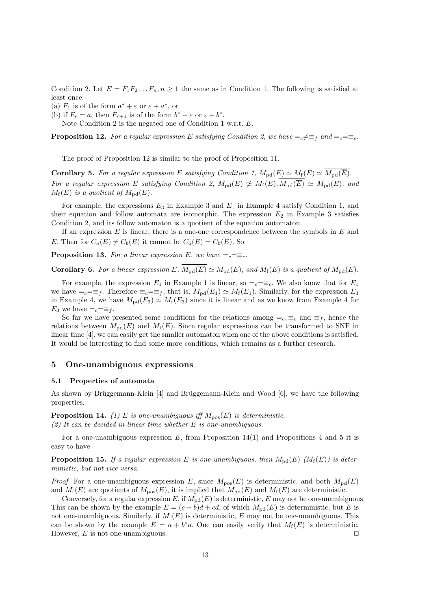Condition 2. Let  $E = F_1 F_2 \dots F_n$ ,  $n \geq 1$  the same as in Condition 1. The following is satisfied at least once:

(a)  $F_1$  is of the form  $a^* + \varepsilon$  or  $\varepsilon + a^*$ , or

(b) if  $F_r = a$ , then  $F_{r+1}$  is of the form  $b^* + \varepsilon$  or  $\varepsilon + b^*$ .

Note Condition 2 is the negated one of Condition 1 w.r.t. *E*.

**Proposition 12.** For a regular expression *E* satisfying Condition 2, we have  $=\sub{e} \neq \equiv_{f}$  and  $=\sub{e} = \equiv_{c}$ .

The proof of Proposition 12 is similar to the proof of Proposition 11.

**Corollary 5.** For a regular expression *E* satisfying Condition 1,  $M_{\text{pd}}(E) \simeq M_{\text{f}}(E) \simeq \overline{M_{\text{pd}}(\overline{E})}$ . *For a regular expression E satisfying Condition 2,*  $M_{\text{pd}}(E) \ncong M_{\text{fd}}(E) \sim M_{\text{pd}}(E)$ , and  $M_f(E)$  *is a quotient of*  $M_{pd}(E)$ *.* 

For example, the expressions  $E_3$  in Example 3 and  $E_1$  in Example 4 satisfy Condition 1, and their equation and follow automata are isomorphic. The expression  $E_2$  in Example 3 satisfies Condition 2, and its follow automaton is a quotient of the equation automaton.

If an expression *E* is linear, there is a one-one correspondence between the symbols in *E* and *E*. Then for  $C_a(\overline{E}) \neq C_b(\overline{E})$  it cannot be  $C_a(\overline{E}) = C_b(\overline{E})$ . So

**Proposition 13.** For a linear expression  $E$ , we have  $=_{c}=\equiv_{c}$ .

**Corollary 6.** For a linear expression  $E$ ,  $\overline{M_{\text{nd}}(\overline{E})} \simeq M_{\text{nd}}(E)$ , and  $M_{\text{f}}(E)$  is a quotient of  $M_{\text{nd}}(E)$ .

For example, the expression  $E_1$  in Example 1 is linear, so  $=$ <sub>*c*</sub> $=$  $\equiv$ <sub>*c*</sub>. We also know that for  $E_1$ we have  $=_c = \equiv_f$ . Therefore  $\equiv_c = \equiv_f$ , that is,  $M_{\text{pd}}(E_1) \simeq M_{\text{f}}(E_1)$ . Similarly, for the expression  $E_3$ in Example 4, we have  $M_{\text{pd}}(E_3) \simeq M_{\text{f}}(E_3)$  since it is linear and as we know from Example 4 for *E*<sub>3</sub> we have  $=$ <sub>*c*</sub> $=$  $\equiv$ <sub>*f*</sub>.

So far we have presented some conditions for the relations among  $=e$ ,  $\equiv_c$  and  $\equiv_f$ , hence the relations between  $M_{\text{pd}}(E)$  and  $M_{\text{f}}(E)$ . Since regular expressions can be transformed to SNF in linear time [4], we can easily get the smaller automaton when one of the above conditions is satisfied. It would be interesting to find some more conditions, which remains as a further research.

## **5 One-unambiguous expressions**

#### **5.1 Properties of automata**

As shown by Brüggemann-Klein  $[4]$  and Brüggemann-Klein and Wood  $[6]$ , we have the following properties.

**Proposition 14.** *(1) E is one-unambiguous iff*  $M_{\text{pos}}(E)$  *is deterministic. (2) It can be decided in linear time whether E is one-unambiguous.*

For a one-unambiguous expression *E*, from Proposition 14(1) and Propositions 4 and 5 it is easy to have

**Proposition 15.** *If a regular expression E is one-unambiguous, then*  $M_{\text{pd}}(E)$   $(M_f(E))$  *is deterministic, but not vice versa.*

*Proof.* For a one-unambiguous expression *E*, since  $M_{\text{pos}}(E)$  is deterministic, and both  $M_{\text{pd}}(E)$ and  $M_f(E)$  are quotients of  $M_{\text{pos}}(E)$ , it is implied that  $M_{\text{pd}}(E)$  and  $M_f(E)$  are deterministic.

Conversely, for a regular expression  $E$ , if  $M_{\text{pd}}(E)$  is deterministic,  $E$  may not be one-unambiguous. This can be shown by the example  $E = (c + b)d + cd$ , of which  $M_{\text{pd}}(E)$  is deterministic, but *E* is not one-unambiguous. Similarly, if  $M_f(E)$  is deterministic,  $E$  may not be one-unambiguous. This can be shown by the example  $E = a + b^*a$ . One can easily verify that  $M_f(E)$  is deterministic. However, *E* is not one-unambiguous. *⊓⊔*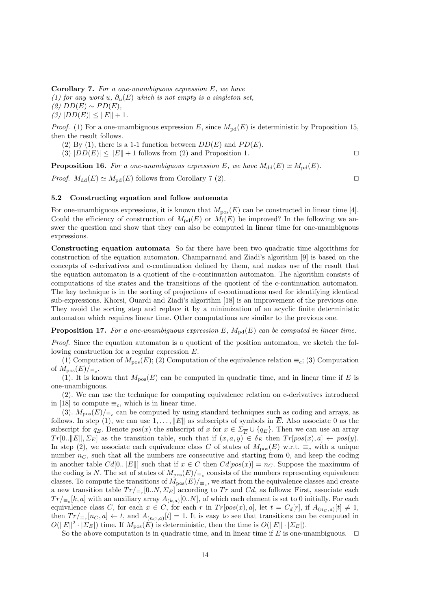**Corollary 7.** *For a one-unambiguous expression E, we have (1) for any word u*,  $\partial_u(E)$  *which is not empty is a singleton set,*  $(2)$  *DD*(*E*)  $\sim$  *PD*(*E*)*,*  $(3)$   $|DD(E)| \leq ||E|| + 1.$ 

*Proof.* (1) For a one-unambiguous expression *E*, since  $M_{\text{pd}}(E)$  is deterministic by Proposition 15, then the result follows.

- (2) By (1), there is a 1-1 function between  $DD(E)$  and  $PD(E)$ .
- $(3)$   $|DD(E)| \leq ||E|| + 1$  follows from  $(2)$  and Proposition 1.  $□$

**Proposition 16.** For a one-unambiguous expression *E*, we have  $M_{dd}(E) \simeq M_{pd}(E)$ .

*Proof.*  $M_{\text{dd}}(E) \simeq M_{\text{pd}}(E)$  follows from Corollary 7 (2).  $\Box$ 

# **5.2 Constructing equation and follow automata**

For one-unambiguous expressions, it is known that  $M_{\text{pos}}(E)$  can be constructed in linear time [4]. Could the efficiency of construction of  $M_{\text{nd}}(E)$  or  $M_f(E)$  be improved? In the following we answer the question and show that they can also be computed in linear time for one-unambiguous expressions.

**Constructing equation automata** So far there have been two quadratic time algorithms for construction of the equation automaton. Champarnaud and Ziadi's algorithm [9] is based on the concepts of c-derivatives and c-continuation defined by them, and makes use of the result that the equation automaton is a quotient of the c-continuation automaton. The algorithm consists of computations of the states and the transitions of the quotient of the c-continuation automaton. The key technique is in the sorting of projections of c-continuations used for identifying identical sub-expressions. Khorsi, Ouardi and Ziadi's algorithm [18] is an improvement of the previous one. They avoid the sorting step and replace it by a minimization of an acyclic finite deterministic automaton which requires linear time. Other computations are similar to the previous one.

**Proposition 17.** For a one-unambiguous expression  $E$ ,  $M_{\text{pd}}(E)$  can be computed in linear time.

*Proof.* Since the equation automaton is a quotient of the position automaton, we sketch the following construction for a regular expression *E*.

(1) Computation of  $M_{\text{pos}}(E)$ ; (2) Computation of the equivalence relation  $\equiv_c$ ; (3) Computation of  $M_{\text{pos}}(E)/_{\equiv_c}$ .

(1). It is known that  $M_{\text{pos}}(E)$  can be computed in quadratic time, and in linear time if E is one-unambiguous.

(2). We can use the technique for computing equivalence relation on c-derivatives introduced in [18] to compute  $\equiv_c$ , which is in linear time.

(3).  $M_{\text{pos}}(E)/_{\equiv_c}$  can be computed by using standard techniques such as coding and arrays, as follows. In step (1), we can use  $1, \ldots, \|E\|$  as subscripts of symbols in  $\overline{E}$ . Also associate 0 as the subscript for  $q_E$ . Denote  $pos(x)$  the subscript of *x* for  $x \in \Sigma_{\overline{E}} \cup \{q_E\}$ . Then we can use an array  $Tr[0..||E||, \Sigma_E]$  as the transition table, such that if  $(x, a, y) \in \delta_E$  then  $Tr[pos(x), a] \leftarrow pos(y)$ . In step (2), we associate each equivalence class *C* of states of  $M_{\text{pos}}(E)$  w.r.t.  $\equiv_c$  with a unique number  $n<sub>C</sub>$ , such that all the numbers are consecutive and starting from 0, and keep the coding in another table  $Cd[0..||E||]$  such that if  $x \in C$  then  $Cd[pos(x)] = n_C$ . Suppose the maximum of the coding is *N*. The set of states of  $M_{\text{pos}}(E)/_{\equiv_c}$  consists of the numbers representing equivalence classes. To compute the transitions of  $M_{\text{pos}}(E)/_{\equiv_c}$ , we start from the equivalence classes and create a new transition table  $Tr/_{\equiv_c}[0..N, \Sigma_E]$  according to  $Tr$  and  $Cd$ , as follows: First, associate each  $Tr/_{\equiv_c}[k, a]$  with an auxiliary array  $A_{(k, a)}[0..N]$ , of which each element is set to 0 initially. For each equivalence class C, for each  $x \in C$ , for each r in  $Tr[pos(x), a]$ , let  $t = C_d[r]$ , if  $A_{(n_C, a)}[t] \neq 1$ , then  $Tr/_{\equiv_c}[n_C, a] \leftarrow t$ , and  $A_{(n_C, a)}[t] = 1$ . It is easy to see that transitions can be computed in  $O(|E||^2 \cdot |\Sigma_E|)$  time. If  $M_{\text{pos}}(E)$  is deterministic, then the time is  $O(|E|| \cdot |\Sigma_E|)$ .

So the above computation is in quadratic time, and in linear time if *E* is one-unambiguous. *⊓⊔*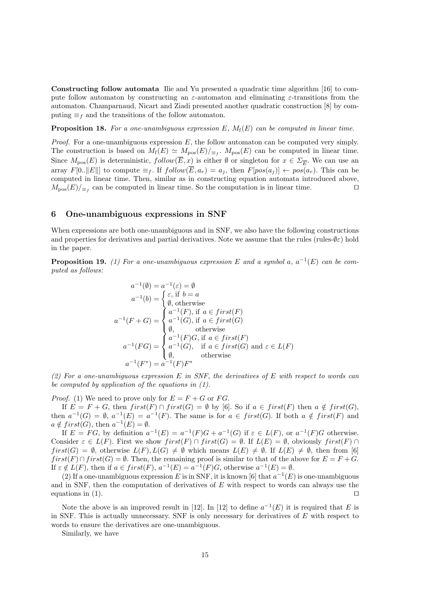**Constructing follow automata** Ilie and Yu presented a quadratic time algorithm [16] to compute follow automaton by constructing an *ε*-automaton and eliminating *ε*-transitions from the automaton. Champarnaud, Nicart and Ziadi presented another quadratic construction [8] by computing  $\equiv$ *f* and the transitions of the follow automaton.

**Proposition 18.** For a one-unambiguous expression  $E$ ,  $M_f(E)$  can be computed in linear time.

*Proof.* For a one-unambiguous expression *E*, the follow automaton can be computed very simply. The construction is based on  $M_f(E) \simeq M_{\text{pos}}(E)/_{\equiv_f}$ .  $M_{\text{pos}}(E)$  can be computed in linear time. Since  $M_{\text{pos}}(E)$  is deterministic,  $follow(E, x)$  is either  $\emptyset$  or singleton for  $x \in \Sigma_{\overline{E}}$ . We can use an array  $F[0,.||E||]$  to compute  $\equiv_f$ . If  $follow(\overline{E}, a_r) = a_i$ , then  $F[pos(a_i)] \leftarrow pos(a_r)$ . This can be computed in linear time. Then, similar as in constructing equation automata introduced above,  $M_{\text{pos}}(E)/_{\equiv_f}$  can be computed in linear time. So the computation is in linear time.  $\Box$ 

# **6 One-unambiguous expressions in SNF**

When expressions are both one-unambiguous and in SNF, we also have the following constructions and properties for derivatives and partial derivatives. Note we assume that the rules (rules- $\varnothing$ *ε*) hold in the paper.

**Proposition 19.** *(1) For a one-unambiguous expression*  $E$  *and a symbol a,*  $a^{-1}(E)$  *can be computed as follows:*

$$
a^{-1}(\emptyset) = a^{-1}(\varepsilon) = \emptyset
$$
  
\n
$$
a^{-1}(b) = \begin{cases} \varepsilon, \text{ if } b = a \\ \emptyset, \text{ otherwise} \end{cases}
$$
  
\n
$$
a^{-1}(F+G) = \begin{cases} a^{-1}(F), \text{ if } a \in first(F) \\ a^{-1}(G), \text{ if } a \in first(G) \\ \emptyset, \text{ otherwise} \\ a^{-1}(F)G, \text{ if } a \in first(F) \\ a^{-1}(G), \text{ if } a \in first(G) \text{ and } \varepsilon \in L(F) \\ \emptyset, \text{ otherwise} \end{cases}
$$
  
\n
$$
a^{-1}(F^*) = a^{-1}(F)F^*
$$

*(2) For a one-unambiguous expression E in SNF, the derivatives of E with respect to words can be computed by application of the equations in (1).*

*Proof.* (1) We need to prove only for  $E = F + G$  or *FG*.

If  $E = F + G$ , then  $first(F) \cap first(G) = \emptyset$  by [6]. So if  $a \in first(F)$  then  $a \notin first(G)$ , then  $a^{-1}(G) = \emptyset$ ,  $a^{-1}(E) = a^{-1}(F)$ . The same is for  $a \in first(G)$ . If both  $a \notin first(F)$  and  $a \notin first(G)$ , then  $a^{-1}(E) = \emptyset$ .

If  $E = FG$ , by definition  $a^{-1}(E) = a^{-1}(F)G + a^{-1}(G)$  if  $\varepsilon \in L(F)$ , or  $a^{-1}(F)G$  otherwise. Consider  $\varepsilon \in L(F)$ . First we show  $first(F) \cap first(G) = \emptyset$ . If  $L(E) = \emptyset$ , obviously  $first(F) \cap$  $first(G) = \emptyset$ , otherwise  $L(F), L(G) \neq \emptyset$  which means  $L(E) \neq \emptyset$ . If  $L(E) \neq \emptyset$ , then from [6]  $first(F) \cap first(G) = \emptyset$ . Then, the remaining proof is similar to that of the above for  $E = F + G$ . If  $\varepsilon \notin L(F)$ , then if  $a \in first(F)$ ,  $a^{-1}(E) = a^{-1}(F)G$ , otherwise  $a^{-1}(E) = \emptyset$ .

(2) If a one-unambiguous expression *E* is in SNF, it is known [6] that  $a^{-1}(E)$  is one-unambiguous and in SNF, then the computation of derivatives of *E* with respect to words can always use the equations in (1). *⊓⊔*

Note the above is an improved result in [12]. In [12] to define  $a^{-1}(E)$  it is required that *E* is in SNF. This is actually unnecessary. SNF is only necessary for derivatives of *E* with respect to words to ensure the derivatives are one-unambiguous.

Similarly, we have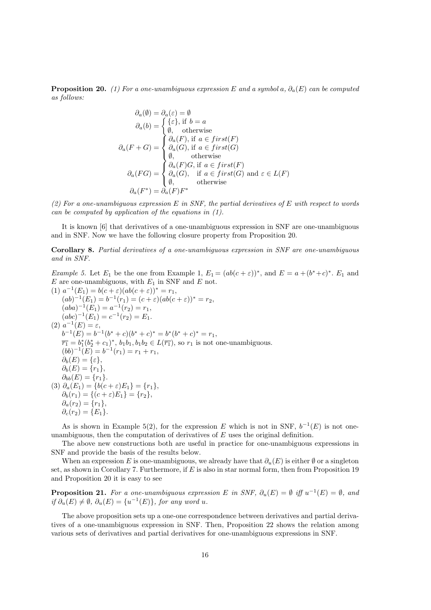**Proposition 20.** *(1) For a one-unambiguous expression*  $E$  *and a symbol*  $a, \partial_a(E)$  *can be computed as follows:*

$$
\partial_a(\emptyset) = \partial_a(\varepsilon) = \emptyset
$$
  
\n
$$
\partial_a(b) = \begin{cases} {\varepsilon}, \text{ if } b = a \\ \emptyset, & \text{otherwise} \end{cases}
$$
  
\n
$$
\partial_a(F+G) = \begin{cases} \partial_a(F), \text{ if } a \in first(F) \\ \partial_a(G), \text{ if } a \in first(G) \\ \emptyset, & \text{otherwise} \end{cases}
$$
  
\n
$$
\partial_a(FG) = \begin{cases} \partial_a(F)G, \text{ if } a \in first(F) \\ \partial_a(G), & \text{ if } a \in first(G) \text{ and } \varepsilon \in L(F) \\ \emptyset, & \text{otherwise} \end{cases}
$$
  
\n
$$
\partial_a(F^*) = \partial_a(F)F^*
$$

*(2) For a one-unambiguous expression E in SNF, the partial derivatives of E with respect to words can be computed by application of the equations in (1).*

It is known [6] that derivatives of a one-unambiguous expression in SNF are one-unambiguous and in SNF. Now we have the following closure property from Proposition 20.

**Corollary 8.** *Partial derivatives of a one-unambiguous expression in SNF are one-unambiguous and in SNF.*

*Example 5.* Let  $E_1$  be the one from Example 1,  $E_1 = (ab(c + \varepsilon))^*$ , and  $E = a + (b^* + c)^*$ .  $E_1$  and *E* are one-unambiguous, with *E*<sup>1</sup> in SNF and *E* not.

$$
(1) \ a^{-1}(E_1) = b(c + \varepsilon)(ab(c + \varepsilon))^* = r_1,
$$
  
\n
$$
(ab)^{-1}(E_1) = b^{-1}(r_1) = (c + \varepsilon)(ab(c + \varepsilon))^* = r_2,
$$
  
\n
$$
(aba)^{-1}(E_1) = a^{-1}(r_2) = r_1,
$$
  
\n
$$
(abc)^{-1}(E_1) = c^{-1}(r_2) = E_1.
$$
  
\n
$$
(2) \ a^{-1}(E) = \varepsilon,
$$
  
\n
$$
b^{-1}(E) = b^{-1}(b^* + c)(b^* + c)^* = b^*(b^* + c)^* = r_1,
$$
  
\n
$$
\overline{r_1} = b_1^*(b_2^* + c_1)^*, b_1b_1, b_1b_2 \in L(\overline{r_1}), \text{ so } r_1 \text{ is not one-unambiguous.}
$$
  
\n
$$
(bb)^{-1}(E) = b^{-1}(r_1) = r_1 + r_1,
$$
  
\n
$$
\partial_b(E) = \{\varepsilon\},
$$
  
\n
$$
\partial_b(E) = \{r_1\},
$$
  
\n
$$
\partial_{bb}(E) = \{r_1\}.
$$
  
\n
$$
(3) \ \partial_a(E_1) = \{b(c + \varepsilon)E_1\} = \{r_1\},
$$
  
\n
$$
\partial_b(r_1) = \{(c + \varepsilon)E_1\} = \{r_2\},
$$
  
\n
$$
\partial_a(r_2) = \{r_1\},
$$
  
\n
$$
\partial_c(r_2) = \{E_1\}.
$$

As is shown in Example 5(2), for the expression *E* which is not in SNF,  $b^{-1}(E)$  is not oneunambiguous, then the computation of derivatives of *E* uses the original definition.

The above new constructions both are useful in practice for one-unambiguous expressions in SNF and provide the basis of the results below.

When an expression *E* is one-unambiguous, we already have that  $\partial_u(E)$  is either  $\emptyset$  or a singleton set, as shown in Corollary 7. Furthermore, if *E* is also in star normal form, then from Proposition 19 and Proposition 20 it is easy to see

**Proposition 21.** For a one-unambiguous expression  $E$  in SNF,  $\partial_u(E) = \emptyset$  iff  $u^{-1}(E) = \emptyset$ , and  $if \partial_u(E) \neq \emptyset$ ,  $\partial_u(E) = \{u^{-1}(E)\}\text{, for any word } u$ .

The above proposition sets up a one-one correspondence between derivatives and partial derivatives of a one-unambiguous expression in SNF. Then, Proposition 22 shows the relation among various sets of derivatives and partial derivatives for one-unambiguous expressions in SNF.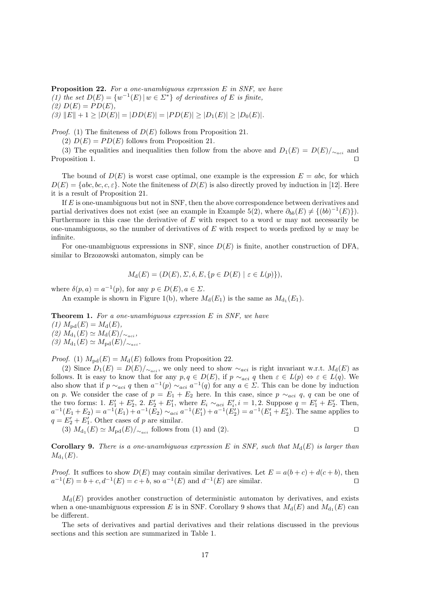**Proposition 22.** *For a one-unambiguous expression E in SNF, we have (1) the set*  $D(E) = \{w^{-1}(E) | w \in \Sigma^*\}$  *of derivatives of E is finite,*  $(2)$   $D(E) = PD(E)$ ,  $(3)$   $||E|| + 1 \ge |D(E)| = |DD(E)| = |PD(E)| \ge |D_1(E)| \ge |D_0(E)|$ .

*Proof.* (1) The finiteness of  $D(E)$  follows from Proposition 21.

(2)  $D(E) = PD(E)$  follows from Proposition 21.

(3) The equalities and inequalities then follow from the above and  $D_1(E) = D(E)/_{\sim_{act}}$  and Proposition 1. *⊓⊔*

The bound of  $D(E)$  is worst case optimal, one example is the expression  $E = abc$ , for which  $D(E) = \{abc, bc, c, \varepsilon\}$ . Note the finiteness of  $D(E)$  is also directly proved by induction in [12]. Here it is a result of Proposition 21.

If *E* is one-unambiguous but not in SNF, then the above correspondence between derivatives and partial derivatives does not exist (see an example in Example 5(2), where  $\partial_{bb}(E) \neq \{ (bb)^{-1}(E) \}$ ). Furthermore in this case the derivative of *E* with respect to a word *w* may not necessarily be one-unambiguous, so the number of derivatives of *E* with respect to words prefixed by *w* may be infinite.

For one-unambiguous expressions in SNF, since *D*(*E*) is finite, another construction of DFA, similar to Brzozowski automaton, simply can be

$$
M_{\mathbf{d}}(E) = (D(E), \Sigma, \delta, E, \{p \in D(E) \mid \varepsilon \in L(p)\}),
$$

where  $\delta(p, a) = a^{-1}(p)$ , for any  $p \in D(E)$ ,  $a \in \Sigma$ .

An example is shown in Figure 1(b), where  $M_d(E_1)$  is the same as  $M_{d_1}(E_1)$ .

**Theorem 1.** *For a one-unambiguous expression E in SNF, we have*

 $(1)$   $M_{\text{pd}}(E) = M_{\text{d}}(E)$ ,  $(2)$   $M_{d_1}(E)$  ≃  $M_{d}(E)$ /<sub>∼*aci*</sub></sub>,  $(3)$   $M_{d_1}(E) \simeq M_{pd}(E)/_{\sim_{aci}}$ .

*Proof.* (1)  $M_{\text{pd}}(E) = M_{\text{d}}(E)$  follows from Proposition 22.

(2) Since  $D_1(E) = D(E)/\sim_{acc}$ , we only need to show  $\sim_{aci}$  is right invariant w.r.t.  $M_d(E)$  as follows. It is easy to know that for any  $p, q \in D(E)$ , if  $p \sim_{aci} q$  then  $\varepsilon \in L(p) \Leftrightarrow \varepsilon \in L(q)$ . We also show that if  $p \sim_{aci} q$  then  $a^{-1}(p) \sim_{aci} a^{-1}(q)$  for any  $a \in \Sigma$ . This can be done by induction on *p*. We consider the case of  $p = E_1 + E_2$  here. In this case, since  $p \sim_{aci} q$ ,  $q$  can be one of the two forms: 1.  $E'_1 + E'_2$ , 2.  $E'_2 + E'_1$ , where  $E_i \sim_{aci} E'_i$ ,  $i = 1, 2$ . Suppose  $q = E'_1 + E'_2$ . Then,  $a^{-1}(E_1+E_2) = a^{-1}(E_1) + a^{-1}(E_2) \sim_{aci} a^{-1}(E'_1) + a^{-1}(E'_2) = a^{-1}(E'_1+E'_2)$ . The same applies to  $q = E'_{2} + E'_{1}$ . Other cases of *p* are similar.

(3)  $M_{d_1}(E) \simeq M_{pd}(E)/\sim_{aci}$  follows from (1) and (2).  $\Box$ 

**Corollary 9.** There is a one-unambiguous expression E in SNF, such that  $M_d(E)$  is larger than  $M_{\rm{d_1}}(E)$ .

*Proof.* It suffices to show  $D(E)$  may contain similar derivatives. Let  $E = a(b+c) + d(c+b)$ , then  $a^{-1}(E) = b + c, d^{-1}(E) = c + b$ , so  $a^{-1}(E)$  and  $d^{-1}(E)$  are similar.  $\Box$ 

 $M_d(E)$  provides another construction of deterministic automaton by derivatives, and exists when a one-unambiguous expression *E* is in SNF. Corollary 9 shows that  $M_d(E)$  and  $M_{d_1}(E)$  can be different.

The sets of derivatives and partial derivatives and their relations discussed in the previous sections and this section are summarized in Table 1.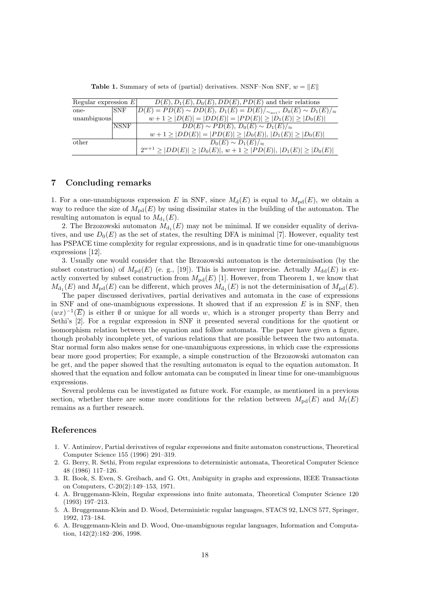| Regular expression $E $ |            | $D(E), D_1(E), D_0(E), DD(E), PD(E)$ and their relations                              |
|-------------------------|------------|---------------------------------------------------------------------------------------|
| one-                    | <b>SNF</b> | $D(E) = PD(E) \sim DD(E), D_1(E) = D(E)/_{\sim_{act}}, D_0(E) \sim D_1(E)/_{\approx}$ |
| unambiguous             |            | $w+1 \geq  D(E)  =  DD(E)  =  PD(E)  \geq  D_1(E)  \geq  D_0(E) $                     |
|                         | NSNF       | $DD(E) \sim PD(E), D_0(E) \sim D_1(E)/_{\approx}$                                     |
|                         |            | $w+1 \geq  DD(E)  =  PD(E)  \geq  D_0(E) ,  D_1(E)  \geq  D_0(E) $                    |
| other                   |            | $D_0(E) \sim D_1(E)/_{\approx}$                                                       |
|                         |            | $2^{w+1} \geq  DD(E)  \geq  D_0(E) $ , $w+1 \geq  PD(E) $ , $ D_1(E)  \geq  D_0(E) $  |

**Table 1.** Summary of sets of (partial) derivatives. NSNF–Non SNF,  $w = ||E||$ 

# **7 Concluding remarks**

1. For a one-unambiguous expression *E* in SNF, since  $M_d(E)$  is equal to  $M_{\text{pd}}(E)$ , we obtain a way to reduce the size of  $M_{\text{pd}}(E)$  by using dissimilar states in the building of the automaton. The resulting automaton is equal to  $M_{d_1}(E)$ .

2. The Brzozowski automaton  $M_{d_1}(E)$  may not be minimal. If we consider equality of derivatives, and use  $D_0(E)$  as the set of states, the resulting DFA is minimal [7]. However, equality test has PSPACE time complexity for regular expressions, and is in quadratic time for one-unambiguous expressions [12].

3. Usually one would consider that the Brzozowski automaton is the determinisation (by the subset construction) of  $M_{\text{pd}}(E)$  (e. g., [19]). This is however imprecise. Actually  $M_{\text{dd}}(E)$  is exactly converted by subset construction from  $M_{\text{pd}}(E)$  [1]. However, from Theorem 1, we know that  $M_{d_1}(E)$  and  $M_{\text{pd}}(E)$  can be different, which proves  $M_{d_1}(E)$  is not the determinisation of  $M_{\text{pd}}(E)$ .

The paper discussed derivatives, partial derivatives and automata in the case of expressions in SNF and of one-unambiguous expressions. It showed that if an expression *E* is in SNF, then  $(wx)^{-1}(\overline{E})$  is either  $\emptyset$  or unique for all words *w*, which is a stronger property than Berry and Sethi's [2]. For a regular expression in SNF it presented several conditions for the quotient or isomorphism relation between the equation and follow automata. The paper have given a figure, though probably incomplete yet, of various relations that are possible between the two automata. Star normal form also makes sense for one-unambiguous expressions, in which case the expressions bear more good properties; For example, a simple construction of the Brzozowski automaton can be get, and the paper showed that the resulting automaton is equal to the equation automaton. It showed that the equation and follow automata can be computed in linear time for one-unambiguous expressions.

Several problems can be investigated as future work. For example, as mentioned in a previous section, whether there are some more conditions for the relation between  $M_{\text{pd}}(E)$  and  $M_{\text{f}}(E)$ remains as a further research.

## **References**

- 1. V. Antimirov, Partial derivatives of regular expressions and finite automaton constructions, Theoretical Computer Science 155 (1996) 291–319.
- 2. G. Berry, R. Sethi, From regular expressions to deterministic automata, Theoretical Computer Science 48 (1986) 117–126.
- 3. R. Book, S. Even, S. Greibach, and G. Ott, Ambiguity in graphs and expressions, IEEE Transactions on Computers, C-20(2):149–153, 1971.
- 4. A. Bruggemann-Klein, Regular expressions into finite automata, Theoretical Computer Science 120 (1993) 197–213.
- 5. A. Bruggemann-Klein and D. Wood, Deterministic regular languages, STACS 92, LNCS 577, Springer, 1992, 173–184.
- 6. A. Bruggemann-Klein and D. Wood, One-unambiguous regular languages, Information and Computation, 142(2):182–206, 1998.